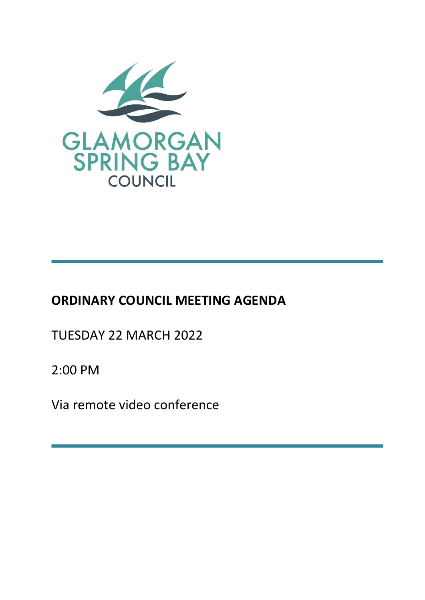

# **ORDINARY COUNCIL MEETING AGENDA**

TUESDAY 22 MARCH 2022

2:00 PM

Via remote video conference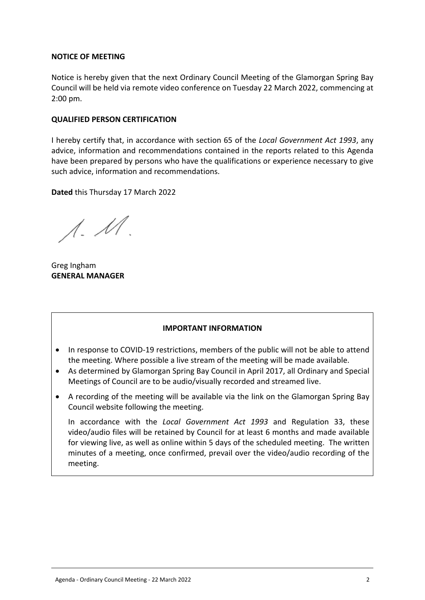#### **NOTICE OF MEETING**

Notice is hereby given that the next Ordinary Council Meeting of the Glamorgan Spring Bay Council will be held via remote video conference on Tuesday 22 March 2022, commencing at 2:00 pm.

#### **QUALIFIED PERSON CERTIFICATION**

I hereby certify that, in accordance with section 65 of the *Local Government Act 1993*, any advice, information and recommendations contained in the reports related to this Agenda have been prepared by persons who have the qualifications or experience necessary to give such advice, information and recommendations.

**Dated** this Thursday 17 March 2022

 $\Lambda$ .  $\mathcal M$ .

Greg Ingham **GENERAL MANAGER**

#### **IMPORTANT INFORMATION**

- In response to COVID-19 restrictions, members of the public will not be able to attend the meeting. Where possible a live stream of the meeting will be made available.
- As determined by Glamorgan Spring Bay Council in April 2017, all Ordinary and Special Meetings of Council are to be audio/visually recorded and streamed live.
- A recording of the meeting will be available via the link on the Glamorgan Spring Bay Council website following the meeting.

In accordance with the *Local Government Act 1993* and Regulation 33, these video/audio files will be retained by Council for at least 6 months and made available for viewing live, as well as online within 5 days of the scheduled meeting. The written minutes of a meeting, once confirmed, prevail over the video/audio recording of the meeting.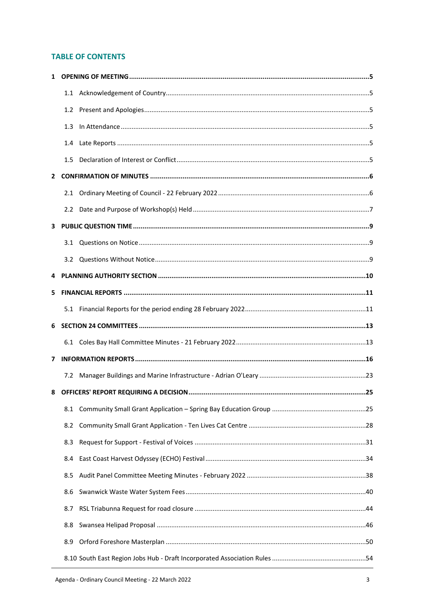## **TABLE OF CONTENTS**

|                | 1.2              |  |
|----------------|------------------|--|
|                | 1.3              |  |
|                | $1.4\phantom{0}$ |  |
|                | 1.5 <sub>1</sub> |  |
| $\mathbf{2}^-$ |                  |  |
|                |                  |  |
|                |                  |  |
| 3              |                  |  |
|                | 3.1              |  |
|                |                  |  |
| 4              |                  |  |
| 5.             |                  |  |
|                |                  |  |
|                |                  |  |
| 6              |                  |  |
|                |                  |  |
| 7              |                  |  |
|                | 7.2              |  |
| 8              |                  |  |
|                | 8.1              |  |
|                | 8.2              |  |
|                | 8.3              |  |
|                | 8.4              |  |
|                | 8.5              |  |
|                | 8.6              |  |
|                | 8.7              |  |
|                | 8.8              |  |
|                | 8.9              |  |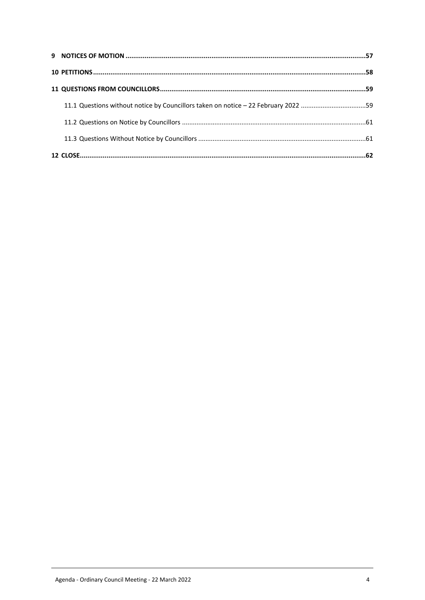| 11.1 Questions without notice by Councillors taken on notice - 22 February 2022 59 |  |
|------------------------------------------------------------------------------------|--|
|                                                                                    |  |
|                                                                                    |  |
|                                                                                    |  |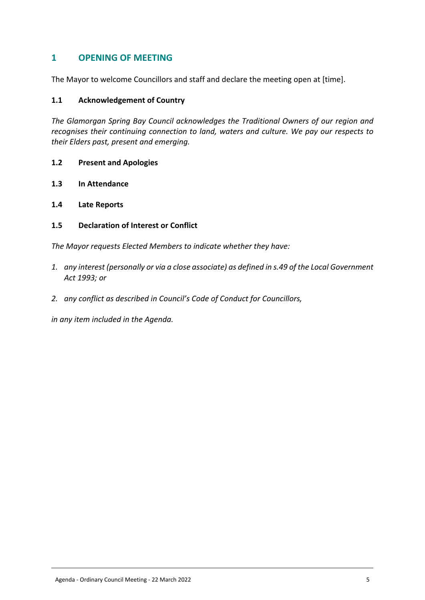# <span id="page-4-0"></span>**1 OPENING OF MEETING**

The Mayor to welcome Councillors and staff and declare the meeting open at [time].

#### <span id="page-4-1"></span>**1.1 Acknowledgement of Country**

*The Glamorgan Spring Bay Council acknowledges the Traditional Owners of our region and recognises their continuing connection to land, waters and culture. We pay our respects to their Elders past, present and emerging.*

- <span id="page-4-2"></span>**1.2 Present and Apologies**
- <span id="page-4-3"></span>**1.3 In Attendance**
- <span id="page-4-4"></span>**1.4 Late Reports**
- <span id="page-4-5"></span>**1.5 Declaration of Interest or Conflict**

*The Mayor requests Elected Members to indicate whether they have:*

- *1. any interest (personally or via a close associate) as defined in s.49 of the Local Government Act 1993; or*
- *2. any conflict as described in Council's Code of Conduct for Councillors,*

*in any item included in the Agenda.*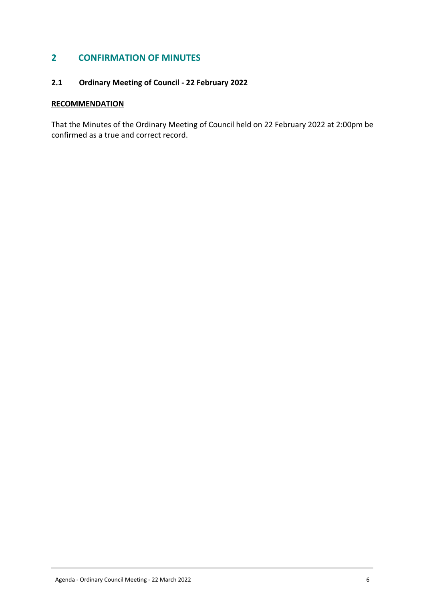# <span id="page-5-0"></span>**2 CONFIRMATION OF MINUTES**

# <span id="page-5-1"></span>2.1 Ordinary Meeting of Council - 22 February 2022 **2.1 Ordinary Meeting of Council - 22 February 2022**

## **RECOMMENDATION**

That the Minutes of the Ordinary Meeting of Council held on 22 February 2022 at 2:00pm be confirmed as a true and correct record.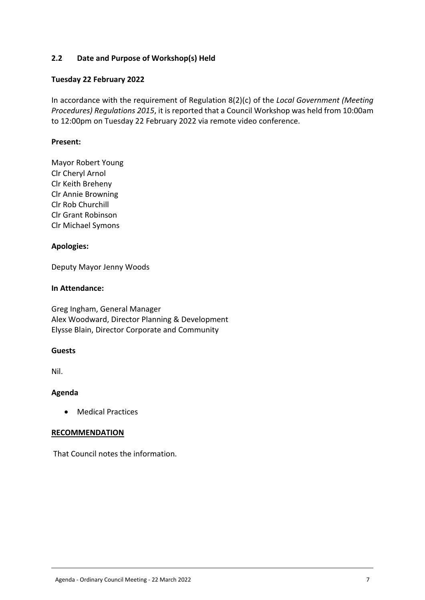## <span id="page-6-0"></span>**2.2 Date and Purpose of Workshop(s) Held**

## **Tuesday 22 February 2022**

In accordance with the requirement of Regulation 8(2)(c) of the *Local Government (Meeting Procedures) Regulations 2015*, it is reported that a Council Workshop was held from 10:00am to 12:00pm on Tuesday 22 February 2022 via remote video conference.

#### **Present:**

Mayor Robert Young Clr Cheryl Arnol Clr Keith Breheny Clr Annie Browning Clr Rob Churchill Clr Grant Robinson Clr Michael Symons

#### **Apologies:**

Deputy Mayor Jenny Woods

#### **In Attendance:**

Greg Ingham, General Manager Alex Woodward, Director Planning & Development Elysse Blain, Director Corporate and Community

#### **Guests**

Nil.

## **Agenda**

Medical Practices

#### **RECOMMENDATION**

That Council notes the information.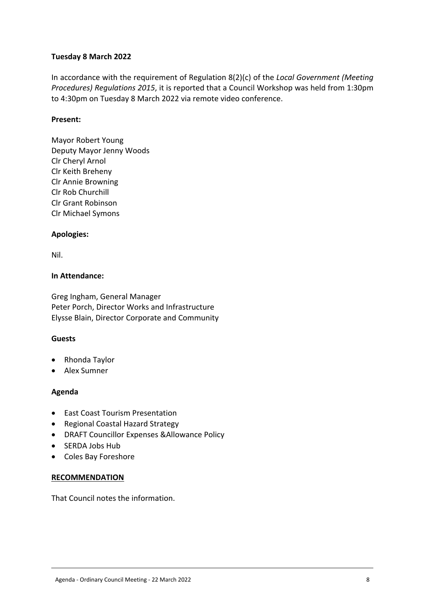## **Tuesday 8 March 2022**

In accordance with the requirement of Regulation 8(2)(c) of the *Local Government (Meeting Procedures) Regulations 2015*, it is reported that a Council Workshop was held from 1:30pm to 4:30pm on Tuesday 8 March 2022 via remote video conference.

## **Present:**

Mayor Robert Young Deputy Mayor Jenny Woods Clr Cheryl Arnol Clr Keith Breheny Clr Annie Browning Clr Rob Churchill Clr Grant Robinson Clr Michael Symons

## **Apologies:**

Nil.

#### **In Attendance:**

Greg Ingham, General Manager Peter Porch, Director Works and Infrastructure Elysse Blain, Director Corporate and Community

#### **Guests**

- Rhonda Taylor
- Alex Sumner

#### **Agenda**

- East Coast Tourism Presentation
- Regional Coastal Hazard Strategy
- DRAFT Councillor Expenses &Allowance Policy
- SERDA Jobs Hub
- Coles Bay Foreshore

#### **RECOMMENDATION**

That Council notes the information.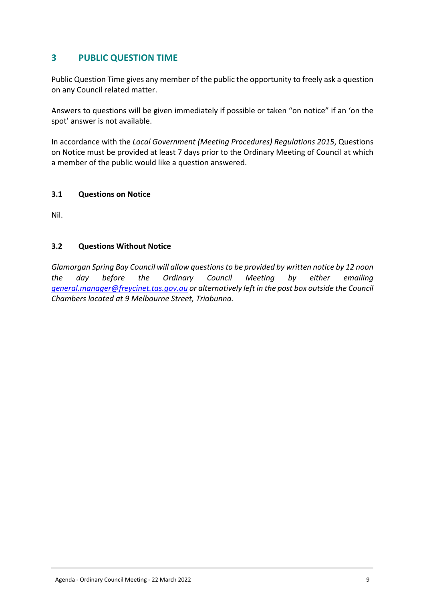# <span id="page-8-0"></span>**3 PUBLIC QUESTION TIME**

Public Question Time gives any member of the public the opportunity to freely ask a question on any Council related matter.

Answers to questions will be given immediately if possible or taken "on notice" if an 'on the spot' answer is not available.

In accordance with the *Local Government (Meeting Procedures) Regulations 2015*, Questions on Notice must be provided at least 7 days prior to the Ordinary Meeting of Council at which a member of the public would like a question answered.

#### <span id="page-8-1"></span>**3.1 Questions on Notice**

Nil.

## <span id="page-8-2"></span>**3.2 Questions Without Notice**

*Glamorgan Spring Bay Council will allow questions to be provided by written notice by 12 noon the day before the Ordinary Council Meeting by either emailing [general.manager@freycinet.tas.gov.au](mailto:general.manager@freycinet.tas.gov.au) or alternatively left in the post box outside the Council Chambers located at 9 Melbourne Street, Triabunna.*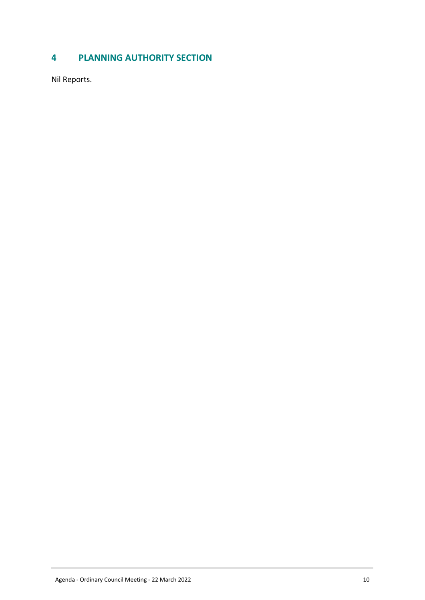# <span id="page-9-0"></span>**4 PLANNING AUTHORITY SECTION**

Nil Reports.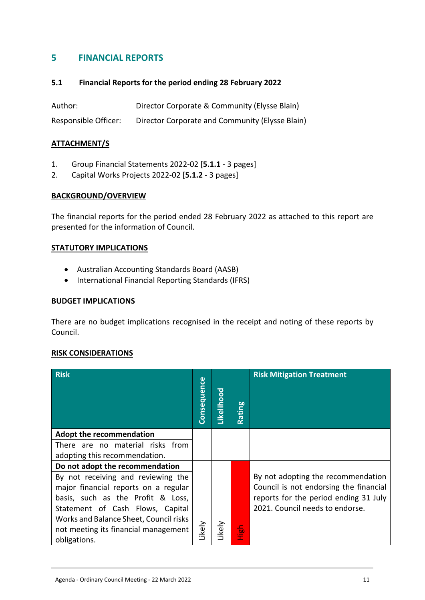# <span id="page-10-0"></span>**5 FINANCIAL REPORTS**

#### <span id="page-10-1"></span>**5.1 Financial Reports for the period ending 28 February 2022**

Author: Director Corporate & Community (Elysse Blain) Responsible Officer: Director Corporate and Community (Elysse Blain)

#### **ATTACHMENT/S**

- 1. Group Financial Statements 2022-02 [**5.1.1** 3 pages]
- 2. Capital Works Projects 2022-02 [**5.1.2** 3 pages]

#### **BACKGROUND/OVERVIEW**

The financial reports for the period ended 28 February 2022 as attached to this report are presented for the information of Council.

#### **STATUTORY IMPLICATIONS**

- Australian Accounting Standards Board (AASB)
- International Financial Reporting Standards (IFRS)

#### **BUDGET IMPLICATIONS**

There are no budget implications recognised in the receipt and noting of these reports by Council.

#### **RISK CONSIDERATIONS**

| <b>Risk</b>                            | <b>Consequence</b> | Likelihood | Rating    | <b>Risk Mitigation Treatment</b>                                                |
|----------------------------------------|--------------------|------------|-----------|---------------------------------------------------------------------------------|
| <b>Adopt the recommendation</b>        |                    |            |           |                                                                                 |
| There are no material risks from       |                    |            |           |                                                                                 |
| adopting this recommendation.          |                    |            |           |                                                                                 |
| Do not adopt the recommendation        |                    |            |           |                                                                                 |
| By not receiving and reviewing the     |                    |            |           | By not adopting the recommendation                                              |
| major financial reports on a regular   |                    |            |           | Council is not endorsing the financial<br>reports for the period ending 31 July |
| basis, such as the Profit & Loss,      |                    |            |           | 2021. Council needs to endorse.                                                 |
| Statement of Cash Flows, Capital       |                    |            |           |                                                                                 |
| Works and Balance Sheet, Council risks |                    |            |           |                                                                                 |
| not meeting its financial management   | Likely             | ikely      | 1igh<br>도 |                                                                                 |
| obligations.                           |                    |            |           |                                                                                 |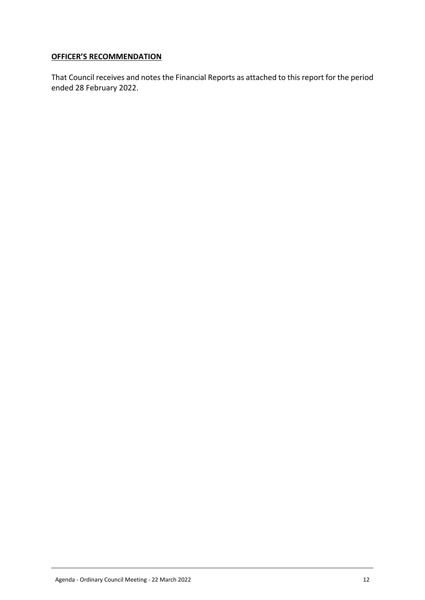## **OFFICER'S RECOMMENDATION**

That Council receives and notes the Financial Reports as attached to this report for the period ended 28 February 2022.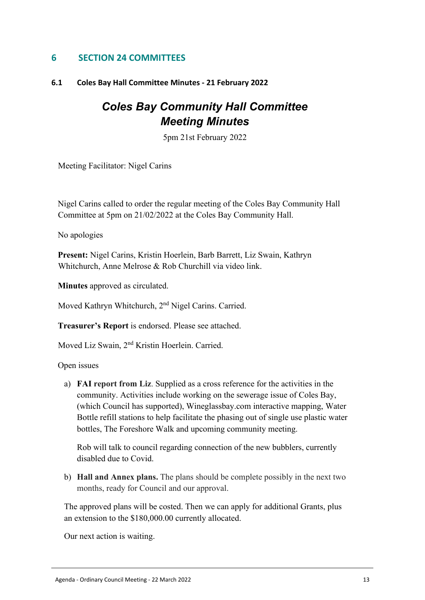# <span id="page-12-0"></span>**6 SECTION 24 COMMITTEES**

## <span id="page-12-1"></span>**6.1 Coles Bay Hall Committee Minutes - 21 February 2022**

# *Coles Bay Community Hall Committee Meeting Minutes*

5pm 21st February 2022

Meeting Facilitator: Nigel Carins

Nigel Carins called to order the regular meeting of the Coles Bay Community Hall Committee at 5pm on 21/02/2022 at the Coles Bay Community Hall.

No apologies

Present: Nigel Carins, Kristin Hoerlein, Barb Barrett, Liz Swain, Kathryn Whitchurch, Anne Melrose & Rob Churchill via video link.

**Minutes** approved as circulated.

Moved Kathryn Whitchurch, 2<sup>nd</sup> Nigel Carins. Carried.

V. **Treasurer's Report** is endorsed. Please see attached.

Moved Liz Swain, 2<sup>nd</sup> Kristin Hoerlein. Carried.

Open issues

a) **FAI report from Liz**. Supplied as a cross reference for the activities in the community. Activities include working on the sewerage issue of Coles Bay, (which Council has supported), Wineglassbay.com interactive mapping, Water Bottle refill stations to help facilitate the phasing out of single use plastic water bottles, The Foreshore Walk and upcoming community meeting.

Rob will talk to council regarding connection of the new bubblers, currently disabled due to Covid.

b) **Hall and Annex plans.** The plans should be complete possibly in the next two months, ready for Council and our approval.

The approved plans will be costed. Then we can apply for additional Grants, plus an extension to the \$180,000.00 currently allocated.

Our next action is waiting.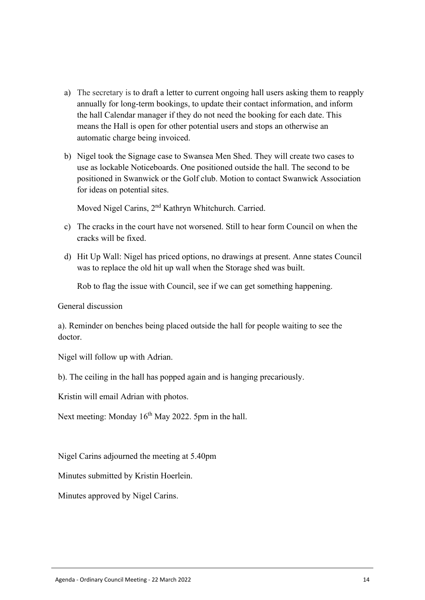- a) The secretary is to draft a letter to current ongoing hall users asking them to reapply annually for long-term bookings, to update their contact information, and inform the hall Calendar manager if they do not need the booking for each date. This means the Hall is open for other potential users and stops an otherwise an automatic charge being invoiced.
- b) Nigel took the Signage case to Swansea Men Shed. They will create two cases to use as lockable Noticeboards. One positioned outside the hall. The second to be positioned in Swanwick or the Golf club. Motion to contact Swanwick Association for ideas on potential sites.

Moved Nigel Carins, 2<sup>nd</sup> Kathryn Whitchurch. Carried.

- c) The cracks in the court have not worsened. Still to hear form Council on when the cracks will be fixed.
- d) Hit Up Wall: Nigel has priced options, no drawings at present. Anne states Council was to replace the old hit up wall when the Storage shed was built.

Rob to flag the issue with Council, see if we can get something happening.

General discussion

a). Reminder on benches being placed outside the hall for people waiting to see the doctor.

Nigel will follow up with Adrian.

b). The ceiling in the hall has popped again and is hanging precariously.

Kristin will email Adrian with photos.

Next meeting: Monday 16<sup>th</sup> May 2022. 5pm in the hall.

Nigel Carins adjourned the meeting at 5.40pm

Minutes submitted by Kristin Hoerlein.

Minutes approved by Nigel Carins.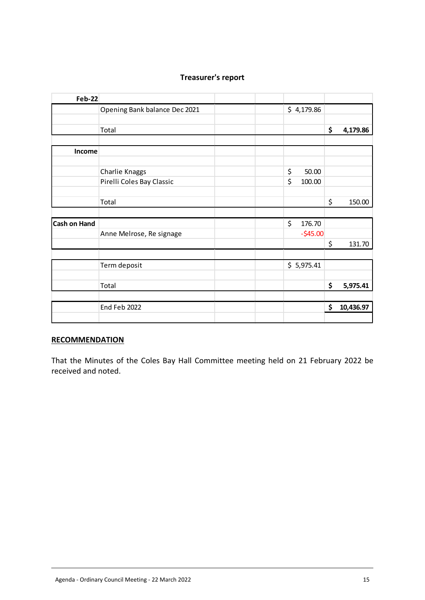| <b>Feb-22</b>       |                               |              |                 |
|---------------------|-------------------------------|--------------|-----------------|
|                     | Opening Bank balance Dec 2021 | \$4,179.86   |                 |
|                     | Total                         |              | \$<br>4,179.86  |
| Income              |                               |              |                 |
|                     | Charlie Knaggs                | \$<br>50.00  |                 |
|                     | Pirelli Coles Bay Classic     | \$<br>100.00 |                 |
|                     | Total                         |              | \$<br>150.00    |
| <b>Cash on Hand</b> |                               | \$<br>176.70 |                 |
|                     | Anne Melrose, Re signage      | $-545.00$    | \$<br>131.70    |
|                     | Term deposit                  | \$5,975.41   |                 |
|                     | Total                         |              | \$<br>5,975.41  |
|                     | End Feb 2022                  |              | \$<br>10,436.97 |
|                     |                               |              |                 |

# **Treasurer's report**

#### **RECOMMENDATION**

That the Minutes of the Coles Bay Hall Committee meeting held on 21 February 2022 be received and noted.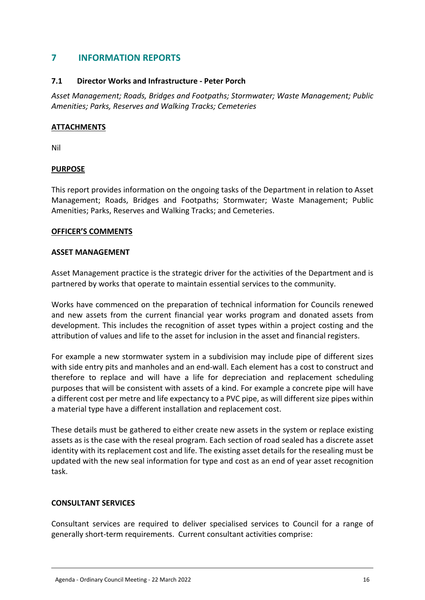# <span id="page-15-0"></span>**7 INFORMATION REPORTS**

## **7.1 Director Works and Infrastructure - Peter Porch**

*Asset Management; Roads, Bridges and Footpaths; Stormwater; Waste Management; Public Amenities; Parks, Reserves and Walking Tracks; Cemeteries*

## **ATTACHMENTS**

Nil

## **PURPOSE**

This report provides information on the ongoing tasks of the Department in relation to Asset Management; Roads, Bridges and Footpaths; Stormwater; Waste Management; Public Amenities; Parks, Reserves and Walking Tracks; and Cemeteries.

#### **OFFICER'S COMMENTS**

#### **ASSET MANAGEMENT**

Asset Management practice is the strategic driver for the activities of the Department and is partnered by works that operate to maintain essential services to the community.

Works have commenced on the preparation of technical information for Councils renewed and new assets from the current financial year works program and donated assets from development. This includes the recognition of asset types within a project costing and the attribution of values and life to the asset for inclusion in the asset and financial registers.

For example a new stormwater system in a subdivision may include pipe of different sizes with side entry pits and manholes and an end-wall. Each element has a cost to construct and therefore to replace and will have a life for depreciation and replacement scheduling purposes that will be consistent with assets of a kind. For example a concrete pipe will have a different cost per metre and life expectancy to a PVC pipe, as will different size pipes within a material type have a different installation and replacement cost.

These details must be gathered to either create new assets in the system or replace existing assets as is the case with the reseal program. Each section of road sealed has a discrete asset identity with its replacement cost and life. The existing asset details for the resealing must be updated with the new seal information for type and cost as an end of year asset recognition task.

#### **CONSULTANT SERVICES**

Consultant services are required to deliver specialised services to Council for a range of generally short-term requirements. Current consultant activities comprise: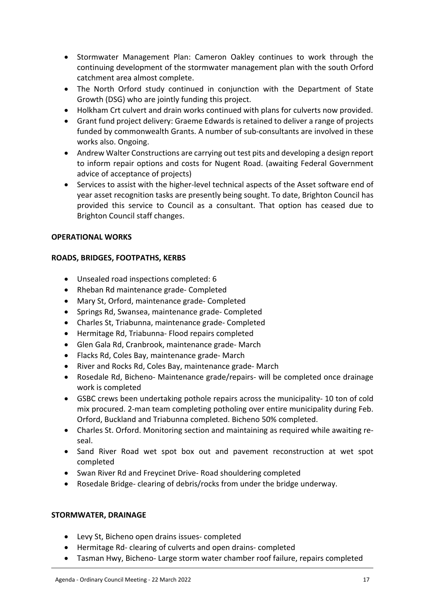- Stormwater Management Plan: Cameron Oakley continues to work through the continuing development of the stormwater management plan with the south Orford catchment area almost complete.
- The North Orford study continued in conjunction with the Department of State Growth (DSG) who are jointly funding this project.
- Holkham Crt culvert and drain works continued with plans for culverts now provided.
- Grant fund project delivery: Graeme Edwards is retained to deliver a range of projects funded by commonwealth Grants. A number of sub-consultants are involved in these works also. Ongoing.
- Andrew Walter Constructions are carrying out test pits and developing a design report to inform repair options and costs for Nugent Road. (awaiting Federal Government advice of acceptance of projects)
- Services to assist with the higher-level technical aspects of the Asset software end of year asset recognition tasks are presently being sought. To date, Brighton Council has provided this service to Council as a consultant. That option has ceased due to Brighton Council staff changes.

## **OPERATIONAL WORKS**

## **ROADS, BRIDGES, FOOTPATHS, KERBS**

- Unsealed road inspections completed: 6
- Rheban Rd maintenance grade- Completed
- Mary St, Orford, maintenance grade- Completed
- Springs Rd, Swansea, maintenance grade- Completed
- Charles St, Triabunna, maintenance grade- Completed
- Hermitage Rd, Triabunna- Flood repairs completed
- Glen Gala Rd, Cranbrook, maintenance grade- March
- Flacks Rd, Coles Bay, maintenance grade- March
- River and Rocks Rd, Coles Bay, maintenance grade- March
- Rosedale Rd, Bicheno- Maintenance grade/repairs- will be completed once drainage work is completed
- GSBC crews been undertaking pothole repairs across the municipality- 10 ton of cold mix procured. 2-man team completing potholing over entire municipality during Feb. Orford, Buckland and Triabunna completed. Bicheno 50% completed.
- Charles St. Orford. Monitoring section and maintaining as required while awaiting reseal.
- Sand River Road wet spot box out and pavement reconstruction at wet spot completed
- Swan River Rd and Freycinet Drive- Road shouldering completed
- Rosedale Bridge- clearing of debris/rocks from under the bridge underway.

## **STORMWATER, DRAINAGE**

- Levy St, Bicheno open drains issues- completed
- Hermitage Rd- clearing of culverts and open drains- completed
- Tasman Hwy, Bicheno- Large storm water chamber roof failure, repairs completed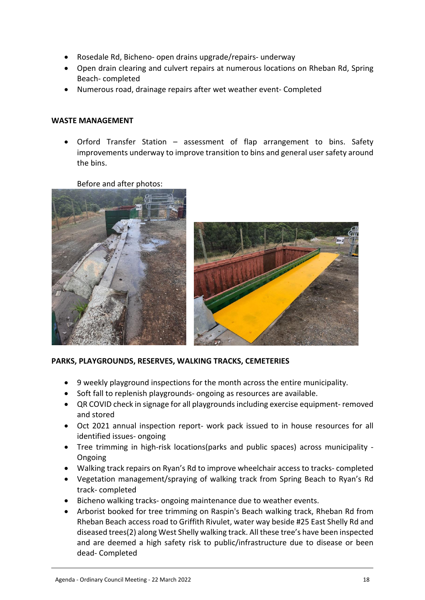- Rosedale Rd, Bicheno- open drains upgrade/repairs- underway
- Open drain clearing and culvert repairs at numerous locations on Rheban Rd, Spring Beach- completed
- Numerous road, drainage repairs after wet weather event- Completed

#### **WASTE MANAGEMENT**

 Orford Transfer Station – assessment of flap arrangement to bins. Safety improvements underway to improve transition to bins and general user safety around the bins.

Before and after photos:





#### **PARKS, PLAYGROUNDS, RESERVES, WALKING TRACKS, CEMETERIES**

- 9 weekly playground inspections for the month across the entire municipality.
- Soft fall to replenish playgrounds-ongoing as resources are available.
- QR COVID check in signage for all playgrounds including exercise equipment- removed and stored
- Oct 2021 annual inspection report- work pack issued to in house resources for all identified issues- ongoing
- Tree trimming in high-risk locations(parks and public spaces) across municipality Ongoing
- Walking track repairs on Ryan's Rd to improve wheelchair access to tracks- completed
- Vegetation management/spraying of walking track from Spring Beach to Ryan's Rd track- completed
- Bicheno walking tracks- ongoing maintenance due to weather events.
- Arborist booked for tree trimming on Raspin's Beach walking track, Rheban Rd from Rheban Beach access road to Griffith Rivulet, water way beside #25 East Shelly Rd and diseased trees(2) along West Shelly walking track. All these tree's have been inspected and are deemed a high safety risk to public/infrastructure due to disease or been dead- Completed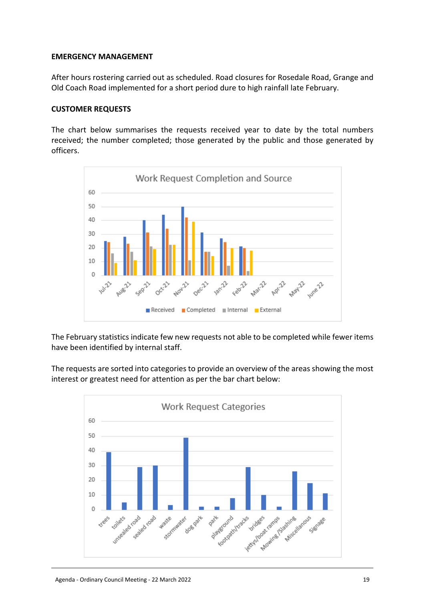#### **EMERGENCY MANAGEMENT**

After hours rostering carried out as scheduled. Road closures for Rosedale Road, Grange and Old Coach Road implemented for a short period dure to high rainfall late February.

#### **CUSTOMER REQUESTS**

The chart below summarises the requests received year to date by the total numbers received; the number completed; those generated by the public and those generated by officers.



The February statistics indicate few new requests not able to be completed while fewer items have been identified by internal staff.

The requests are sorted into categories to provide an overview of the areas showing the most interest or greatest need for attention as per the bar chart below:

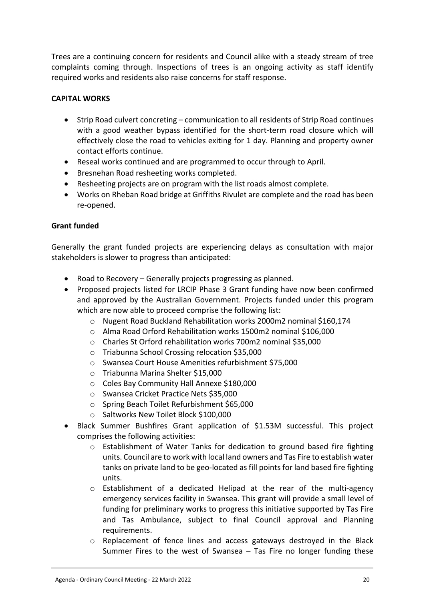Trees are a continuing concern for residents and Council alike with a steady stream of tree complaints coming through. Inspections of trees is an ongoing activity as staff identify required works and residents also raise concerns for staff response.

## **CAPITAL WORKS**

- Strip Road culvert concreting communication to all residents of Strip Road continues with a good weather bypass identified for the short-term road closure which will effectively close the road to vehicles exiting for 1 day. Planning and property owner contact efforts continue.
- Reseal works continued and are programmed to occur through to April.
- Bresnehan Road resheeting works completed.
- Resheeting projects are on program with the list roads almost complete.
- Works on Rheban Road bridge at Griffiths Rivulet are complete and the road has been re-opened.

## **Grant funded**

Generally the grant funded projects are experiencing delays as consultation with major stakeholders is slower to progress than anticipated:

- Road to Recovery Generally projects progressing as planned.
- Proposed projects listed for LRCIP Phase 3 Grant funding have now been confirmed and approved by the Australian Government. Projects funded under this program which are now able to proceed comprise the following list:
	- o Nugent Road Buckland Rehabilitation works 2000m2 nominal \$160,174
	- o Alma Road Orford Rehabilitation works 1500m2 nominal \$106,000
	- o Charles St Orford rehabilitation works 700m2 nominal \$35,000
	- o Triabunna School Crossing relocation \$35,000
	- o Swansea Court House Amenities refurbishment \$75,000
	- o Triabunna Marina Shelter \$15,000
	- o Coles Bay Community Hall Annexe \$180,000
	- o Swansea Cricket Practice Nets \$35,000
	- o Spring Beach Toilet Refurbishment \$65,000
	- o Saltworks New Toilet Block \$100,000
- Black Summer Bushfires Grant application of \$1.53M successful. This project comprises the following activities:
	- o Establishment of Water Tanks for dedication to ground based fire fighting units. Council are to work with local land owners and Tas Fire to establish water tanks on private land to be geo-located as fill points for land based fire fighting units.
	- $\circ$  Establishment of a dedicated Helipad at the rear of the multi-agency emergency services facility in Swansea. This grant will provide a small level of funding for preliminary works to progress this initiative supported by Tas Fire and Tas Ambulance, subject to final Council approval and Planning requirements.
	- $\circ$  Replacement of fence lines and access gateways destroyed in the Black Summer Fires to the west of Swansea – Tas Fire no longer funding these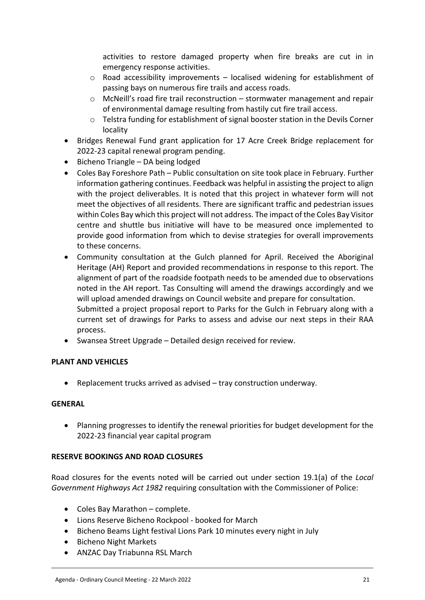activities to restore damaged property when fire breaks are cut in in emergency response activities.

- $\circ$  Road accessibility improvements localised widening for establishment of passing bays on numerous fire trails and access roads.
- o McNeill's road fire trail reconstruction stormwater management and repair of environmental damage resulting from hastily cut fire trail access.
- $\circ$  Telstra funding for establishment of signal booster station in the Devils Corner locality
- Bridges Renewal Fund grant application for 17 Acre Creek Bridge replacement for 2022-23 capital renewal program pending.
- $\bullet$  Bicheno Triangle DA being lodged
- Coles Bay Foreshore Path Public consultation on site took place in February. Further information gathering continues. Feedback was helpful in assisting the project to align with the project deliverables. It is noted that this project in whatever form will not meet the objectives of all residents. There are significant traffic and pedestrian issues within Coles Bay which this project will not address. The impact of the Coles Bay Visitor centre and shuttle bus initiative will have to be measured once implemented to provide good information from which to devise strategies for overall improvements to these concerns.
- Community consultation at the Gulch planned for April. Received the Aboriginal Heritage (AH) Report and provided recommendations in response to this report. The alignment of part of the roadside footpath needs to be amended due to observations noted in the AH report. Tas Consulting will amend the drawings accordingly and we will upload amended drawings on Council website and prepare for consultation. Submitted a project proposal report to Parks for the Gulch in February along with a current set of drawings for Parks to assess and advise our next steps in their RAA process.
- Swansea Street Upgrade Detailed design received for review.

## **PLANT AND VEHICLES**

Replacement trucks arrived as advised – tray construction underway.

## **GENERAL**

 Planning progresses to identify the renewal priorities for budget development for the 2022-23 financial year capital program

## **RESERVE BOOKINGS AND ROAD CLOSURES**

Road closures for the events noted will be carried out under section 19.1(a) of the *Local Government Highways Act 1982* requiring consultation with the Commissioner of Police:

- Coles Bay Marathon complete.
- Lions Reserve Bicheno Rockpool booked for March
- Bicheno Beams Light festival Lions Park 10 minutes every night in July
- **•** Bicheno Night Markets
- ANZAC Day Triabunna RSL March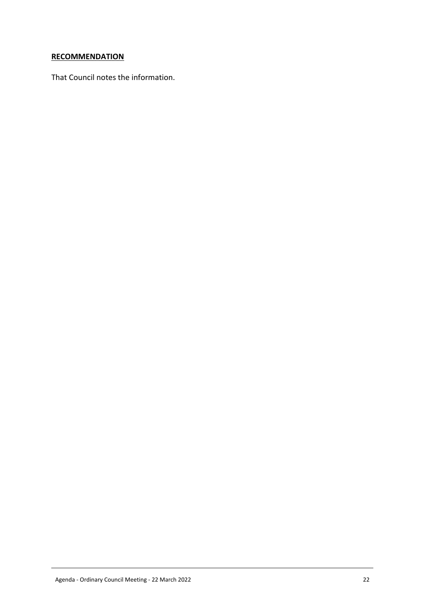## **RECOMMENDATION**

That Council notes the information.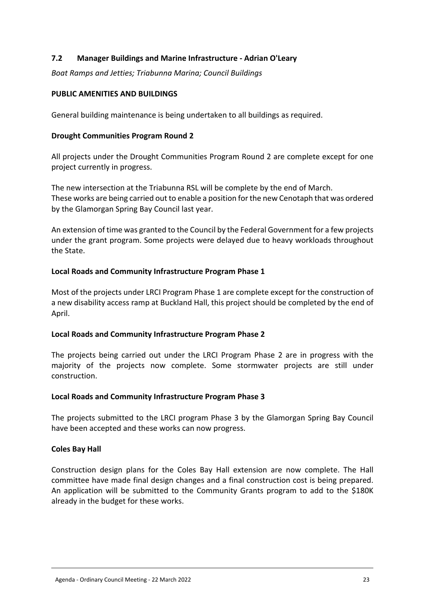## <span id="page-22-0"></span>**7.2 Manager Buildings and Marine Infrastructure - Adrian O'Leary**

*Boat Ramps and Jetties; Triabunna Marina; Council Buildings*

#### **PUBLIC AMENITIES AND BUILDINGS**

General building maintenance is being undertaken to all buildings as required.

#### **Drought Communities Program Round 2**

All projects under the Drought Communities Program Round 2 are complete except for one project currently in progress.

The new intersection at the Triabunna RSL will be complete by the end of March. These works are being carried out to enable a position for the new Cenotaph that was ordered by the Glamorgan Spring Bay Council last year.

An extension of time was granted to the Council by the Federal Government for a few projects under the grant program. Some projects were delayed due to heavy workloads throughout the State.

#### **Local Roads and Community Infrastructure Program Phase 1**

Most of the projects under LRCI Program Phase 1 are complete except for the construction of a new disability access ramp at Buckland Hall, this project should be completed by the end of April.

#### **Local Roads and Community Infrastructure Program Phase 2**

The projects being carried out under the LRCI Program Phase 2 are in progress with the majority of the projects now complete. Some stormwater projects are still under construction.

#### **Local Roads and Community Infrastructure Program Phase 3**

The projects submitted to the LRCI program Phase 3 by the Glamorgan Spring Bay Council have been accepted and these works can now progress.

#### **Coles Bay Hall**

Construction design plans for the Coles Bay Hall extension are now complete. The Hall committee have made final design changes and a final construction cost is being prepared. An application will be submitted to the Community Grants program to add to the \$180K already in the budget for these works.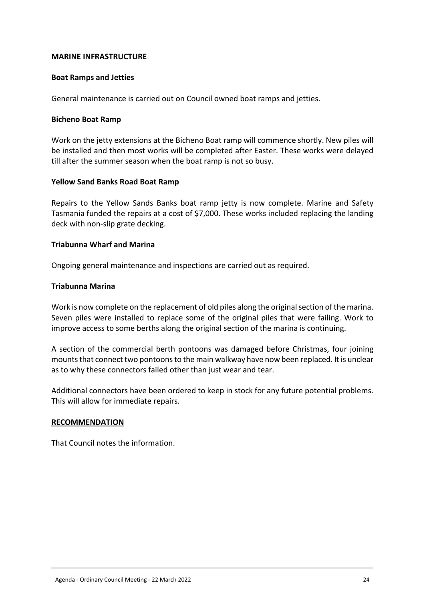#### **MARINE INFRASTRUCTURE**

#### **Boat Ramps and Jetties**

General maintenance is carried out on Council owned boat ramps and jetties.

#### **Bicheno Boat Ramp**

Work on the jetty extensions at the Bicheno Boat ramp will commence shortly. New piles will be installed and then most works will be completed after Easter. These works were delayed till after the summer season when the boat ramp is not so busy.

#### **Yellow Sand Banks Road Boat Ramp**

Repairs to the Yellow Sands Banks boat ramp jetty is now complete. Marine and Safety Tasmania funded the repairs at a cost of \$7,000. These works included replacing the landing deck with non-slip grate decking.

#### **Triabunna Wharf and Marina**

Ongoing general maintenance and inspections are carried out as required.

#### **Triabunna Marina**

Work is now complete on the replacement of old piles along the original section of the marina. Seven piles were installed to replace some of the original piles that were failing. Work to improve access to some berths along the original section of the marina is continuing.

A section of the commercial berth pontoons was damaged before Christmas, four joining mounts that connect two pontoons to the main walkway have now been replaced. It is unclear as to why these connectors failed other than just wear and tear.

Additional connectors have been ordered to keep in stock for any future potential problems. This will allow for immediate repairs.

#### **RECOMMENDATION**

That Council notes the information.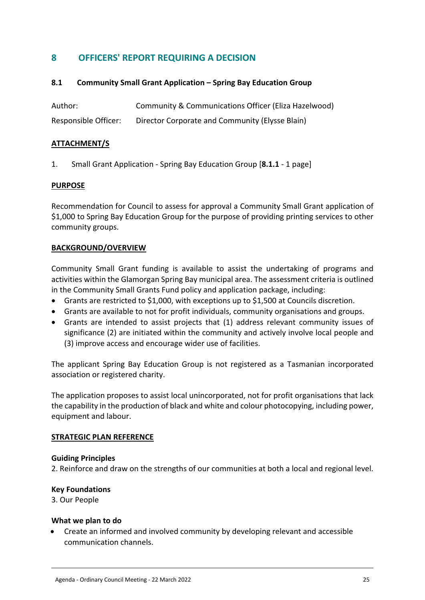# <span id="page-24-0"></span>**8 OFFICERS' REPORT REQUIRING A DECISION**

## <span id="page-24-1"></span>**8.1 Community Small Grant Application – Spring Bay Education Group**

| Author:              | Community & Communications Officer (Eliza Hazelwood) |
|----------------------|------------------------------------------------------|
| Responsible Officer: | Director Corporate and Community (Elysse Blain)      |

#### **ATTACHMENT/S**

1. Small Grant Application - Spring Bay Education Group [**8.1.1** - 1 page]

#### **PURPOSE**

Recommendation for Council to assess for approval a Community Small Grant application of \$1,000 to Spring Bay Education Group for the purpose of providing printing services to other community groups.

## **BACKGROUND/OVERVIEW**

Community Small Grant funding is available to assist the undertaking of programs and activities within the Glamorgan Spring Bay municipal area. The assessment criteria is outlined in the Community Small Grants Fund policy and application package, including:

- Grants are restricted to \$1,000, with exceptions up to \$1,500 at Councils discretion.
- Grants are available to not for profit individuals, community organisations and groups.
- Grants are intended to assist projects that (1) address relevant community issues of significance (2) are initiated within the community and actively involve local people and (3) improve access and encourage wider use of facilities.

The applicant Spring Bay Education Group is not registered as a Tasmanian incorporated association or registered charity.

The application proposes to assist local unincorporated, not for profit organisations that lack the capability in the production of black and white and colour photocopying, including power, equipment and labour.

#### **STRATEGIC PLAN REFERENCE**

#### **Guiding Principles**

2. Reinforce and draw on the strengths of our communities at both a local and regional level.

#### **Key Foundations**

3. Our People

#### **What we plan to do**

 Create an informed and involved community by developing relevant and accessible communication channels.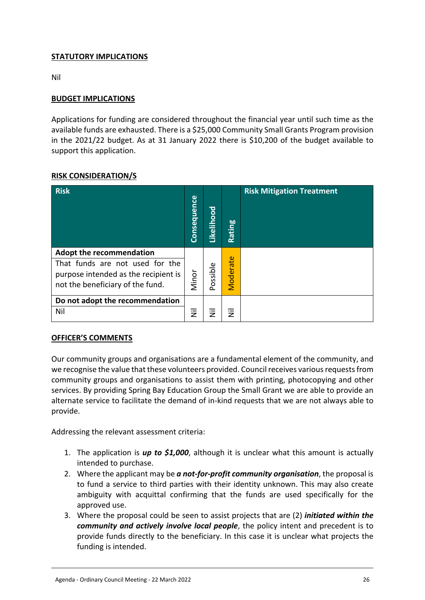## **STATUTORY IMPLICATIONS**

Nil

## **BUDGET IMPLICATIONS**

Applications for funding are considered throughout the financial year until such time as the available funds are exhausted. There is a \$25,000 Community Small Grants Program provision in the 2021/22 budget. As at 31 January 2022 there is \$10,200 of the budget available to support this application.

## **RISK CONSIDERATION/S**

| <b>Risk</b>                                                                                                                                    | <b>Consequence</b> | Likelihood | Rating   | <b>Risk Mitigation Treatment</b> |
|------------------------------------------------------------------------------------------------------------------------------------------------|--------------------|------------|----------|----------------------------------|
| <b>Adopt the recommendation</b><br>That funds are not used for the<br>purpose intended as the recipient is<br>not the beneficiary of the fund. | Minor              | Possible   | Moderate |                                  |
| Do not adopt the recommendation<br>Nil                                                                                                         | Ξ                  | Ξ          | Ξ        |                                  |

#### **OFFICER'S COMMENTS**

Our community groups and organisations are a fundamental element of the community, and we recognise the value that these volunteers provided. Council receives various requests from community groups and organisations to assist them with printing, photocopying and other services. By providing Spring Bay Education Group the Small Grant we are able to provide an alternate service to facilitate the demand of in-kind requests that we are not always able to provide.

Addressing the relevant assessment criteria:

- 1. The application is *up to \$1,000*, although it is unclear what this amount is actually intended to purchase.
- 2. Where the applicant may be *a not-for-profit community organisation*, the proposal is to fund a service to third parties with their identity unknown. This may also create ambiguity with acquittal confirming that the funds are used specifically for the approved use.
- 3. Where the proposal could be seen to assist projects that are (2) *initiated within the community and actively involve local people*, the policy intent and precedent is to provide funds directly to the beneficiary. In this case it is unclear what projects the funding is intended.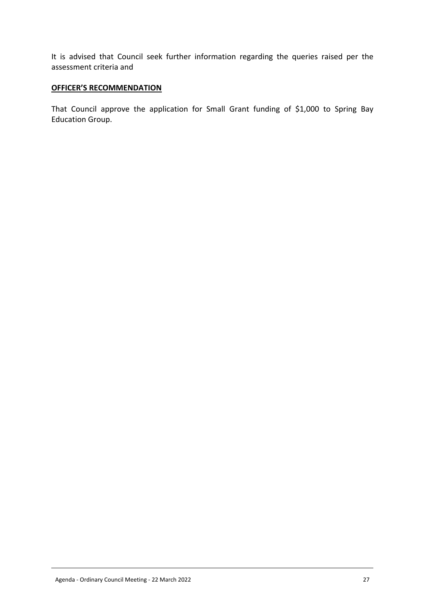It is advised that Council seek further information regarding the queries raised per the assessment criteria and

#### **OFFICER'S RECOMMENDATION**

That Council approve the application for Small Grant funding of \$1,000 to Spring Bay Education Group.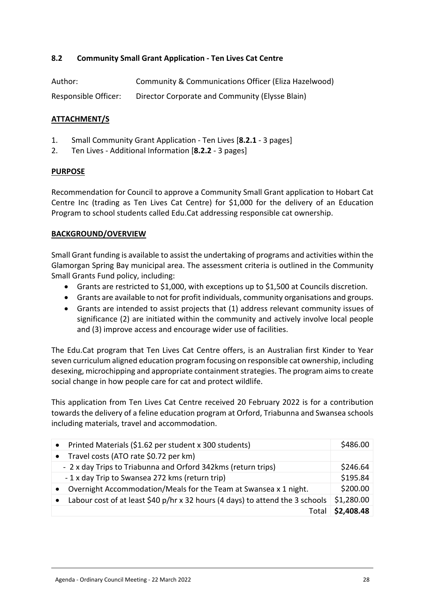## <span id="page-27-0"></span>**8.2 Community Small Grant Application - Ten Lives Cat Centre**

| Author:              | Community & Communications Officer (Eliza Hazelwood) |
|----------------------|------------------------------------------------------|
| Responsible Officer: | Director Corporate and Community (Elysse Blain)      |

## **ATTACHMENT/S**

- 1. Small Community Grant Application Ten Lives [**8.2.1** 3 pages]
- 2. Ten Lives Additional Information [**8.2.2** 3 pages]

#### **PURPOSE**

Recommendation for Council to approve a Community Small Grant application to Hobart Cat Centre Inc (trading as Ten Lives Cat Centre) for \$1,000 for the delivery of an Education Program to school students called Edu.Cat addressing responsible cat ownership.

## **BACKGROUND/OVERVIEW**

Small Grant funding is available to assist the undertaking of programs and activities within the Glamorgan Spring Bay municipal area. The assessment criteria is outlined in the Community Small Grants Fund policy, including:

- Grants are restricted to \$1,000, with exceptions up to \$1,500 at Councils discretion.
- Grants are available to not for profit individuals, community organisations and groups.
- Grants are intended to assist projects that (1) address relevant community issues of significance (2) are initiated within the community and actively involve local people and (3) improve access and encourage wider use of facilities.

The Edu.Cat program that Ten Lives Cat Centre offers, is an Australian first Kinder to Year seven curriculum aligned education program focusing on responsible cat ownership, including desexing, microchipping and appropriate containment strategies. The program aims to create social change in how people care for cat and protect wildlife.

This application from Ten Lives Cat Centre received 20 February 2022 is for a contribution towards the delivery of a feline education program at Orford, Triabunna and Swansea schools including materials, travel and accommodation.

| $\bullet$ | Printed Materials (\$1.62 per student x 300 students)                         | \$486.00   |
|-----------|-------------------------------------------------------------------------------|------------|
| $\bullet$ | Travel costs (ATO rate \$0.72 per km)                                         |            |
|           | - 2 x day Trips to Triabunna and Orford 342kms (return trips)                 | \$246.64   |
|           | -1 x day Trip to Swansea 272 kms (return trip)                                | \$195.84   |
| $\bullet$ | Overnight Accommodation/Meals for the Team at Swansea x 1 night.              | \$200.00   |
|           | Labour cost of at least \$40 p/hr x 32 hours (4 days) to attend the 3 schools | \$1,280.00 |
|           | Tota                                                                          | \$2,408.48 |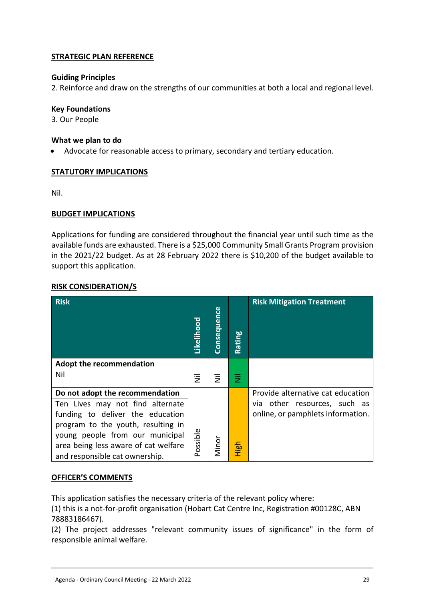## **STRATEGIC PLAN REFERENCE**

## **Guiding Principles**

2. Reinforce and draw on the strengths of our communities at both a local and regional level.

#### **Key Foundations**

3. Our People

#### **What we plan to do**

Advocate for reasonable access to primary, secondary and tertiary education.

## **STATUTORY IMPLICATIONS**

Nil.

## **BUDGET IMPLICATIONS**

Applications for funding are considered throughout the financial year until such time as the available funds are exhausted. There is a \$25,000 Community Small Grants Program provision in the 2021/22 budget. As at 28 February 2022 there is \$10,200 of the budget available to support this application.

## **RISK CONSIDERATION/S**

| <b>Risk</b>                          | Likelihood                | <b>Consequence</b> | Rating | <b>Risk Mitigation Treatment</b>  |
|--------------------------------------|---------------------------|--------------------|--------|-----------------------------------|
| <b>Adopt the recommendation</b>      |                           |                    |        |                                   |
| Nil                                  | $\overline{\overline{z}}$ | 乬                  | 固      |                                   |
| Do not adopt the recommendation      |                           |                    |        | Provide alternative cat education |
| Ten Lives may not find alternate     |                           |                    |        | via other resources, such as      |
| funding to deliver the education     |                           |                    |        | online, or pamphlets information. |
| program to the youth, resulting in   |                           |                    |        |                                   |
| young people from our municipal      |                           |                    |        |                                   |
| area being less aware of cat welfare | Possible                  | Minor              | High   |                                   |
| and responsible cat ownership.       |                           |                    |        |                                   |

## **OFFICER'S COMMENTS**

This application satisfies the necessary criteria of the relevant policy where:

(1) this is a not-for-profit organisation (Hobart Cat Centre Inc, Registration #00128C, ABN 78883186467).

(2) The project addresses "relevant community issues of significance" in the form of responsible animal welfare.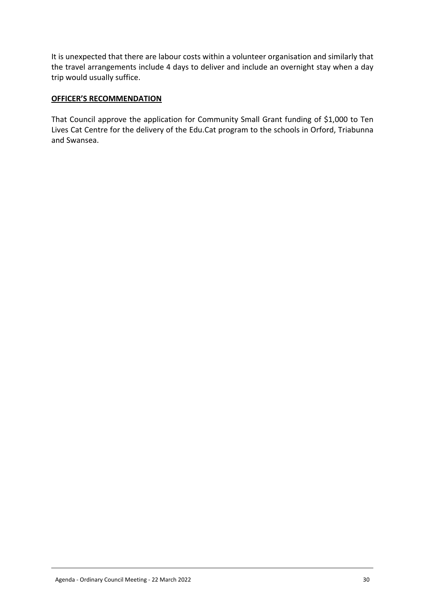It is unexpected that there are labour costs within a volunteer organisation and similarly that the travel arrangements include 4 days to deliver and include an overnight stay when a day trip would usually suffice.

## **OFFICER'S RECOMMENDATION**

That Council approve the application for Community Small Grant funding of \$1,000 to Ten Lives Cat Centre for the delivery of the Edu.Cat program to the schools in Orford, Triabunna and Swansea.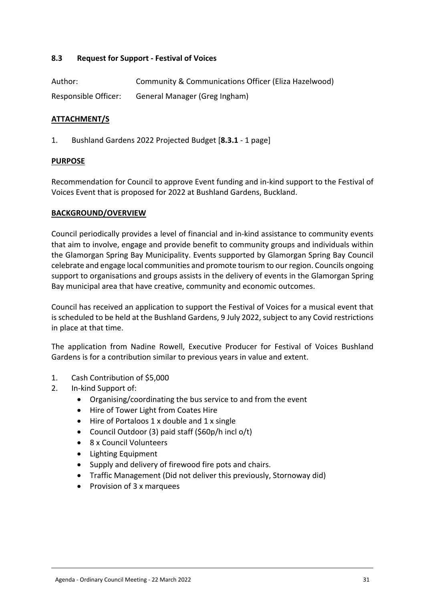## <span id="page-30-0"></span>**8.3 Request for Support - Festival of Voices**

| Author:              | Community & Communications Officer (Eliza Hazelwood) |
|----------------------|------------------------------------------------------|
| Responsible Officer: | General Manager (Greg Ingham)                        |

#### **ATTACHMENT/S**

1. Bushland Gardens 2022 Projected Budget [**8.3.1** - 1 page]

#### **PURPOSE**

Recommendation for Council to approve Event funding and in-kind support to the Festival of Voices Event that is proposed for 2022 at Bushland Gardens, Buckland.

#### **BACKGROUND/OVERVIEW**

Council periodically provides a level of financial and in-kind assistance to community events that aim to involve, engage and provide benefit to community groups and individuals within the Glamorgan Spring Bay Municipality. Events supported by Glamorgan Spring Bay Council celebrate and engage local communities and promote tourism to our region. Councils ongoing support to organisations and groups assists in the delivery of events in the Glamorgan Spring Bay municipal area that have creative, community and economic outcomes.

Council has received an application to support the Festival of Voices for a musical event that is scheduled to be held at the Bushland Gardens, 9 July 2022, subject to any Covid restrictions in place at that time.

The application from Nadine Rowell, Executive Producer for Festival of Voices Bushland Gardens is for a contribution similar to previous years in value and extent.

- 1. Cash Contribution of \$5,000
- 2. In-kind Support of:
	- Organising/coordinating the bus service to and from the event
	- Hire of Tower Light from Coates Hire
	- Hire of Portaloos 1 x double and 1 x single
	- Council Outdoor (3) paid staff (\$60p/h incl o/t)
	- 8 x Council Volunteers
	- Lighting Equipment
	- Supply and delivery of firewood fire pots and chairs.
	- Traffic Management (Did not deliver this previously, Stornoway did)
	- Provision of 3 x marquees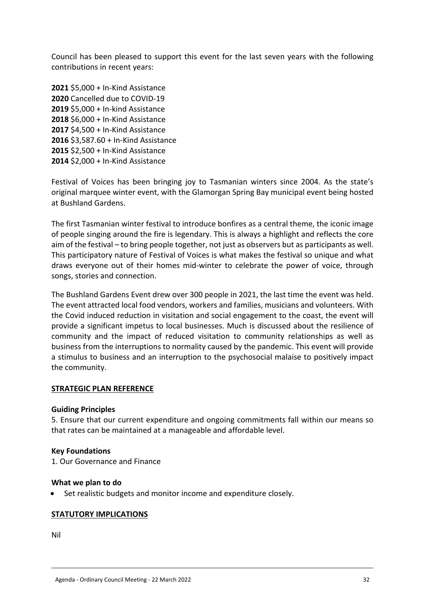Council has been pleased to support this event for the last seven years with the following contributions in recent years:

 \$5,000 + In-Kind Assistance Cancelled due to COVID-19 \$5,000 + In-kind Assistance \$6,000 + In-Kind Assistance \$4,500 + In-Kind Assistance \$3,587.60 + In-Kind Assistance \$2,500 + In-Kind Assistance \$2,000 + In-Kind Assistance

Festival of Voices has been bringing joy to Tasmanian winters since 2004. As the state's original marquee winter event, with the Glamorgan Spring Bay municipal event being hosted at Bushland Gardens.

The first Tasmanian winter festival to introduce bonfires as a central theme, the iconic image of people singing around the fire is legendary. This is always a highlight and reflects the core aim of the festival – to bring people together, not just as observers but as participants as well. This participatory nature of Festival of Voices is what makes the festival so unique and what draws everyone out of their homes mid-winter to celebrate the power of voice, through songs, stories and connection.

The Bushland Gardens Event drew over 300 people in 2021, the last time the event was held. The event attracted local food vendors, workers and families, musicians and volunteers. With the Covid induced reduction in visitation and social engagement to the coast, the event will provide a significant impetus to local businesses. Much is discussed about the resilience of community and the impact of reduced visitation to community relationships as well as business from the interruptions to normality caused by the pandemic. This event will provide a stimulus to business and an interruption to the psychosocial malaise to positively impact the community.

#### **STRATEGIC PLAN REFERENCE**

#### **Guiding Principles**

5. Ensure that our current expenditure and ongoing commitments fall within our means so that rates can be maintained at a manageable and affordable level.

#### **Key Foundations**

1. Our Governance and Finance

#### **What we plan to do**

Set realistic budgets and monitor income and expenditure closely.

#### **STATUTORY IMPLICATIONS**

Nil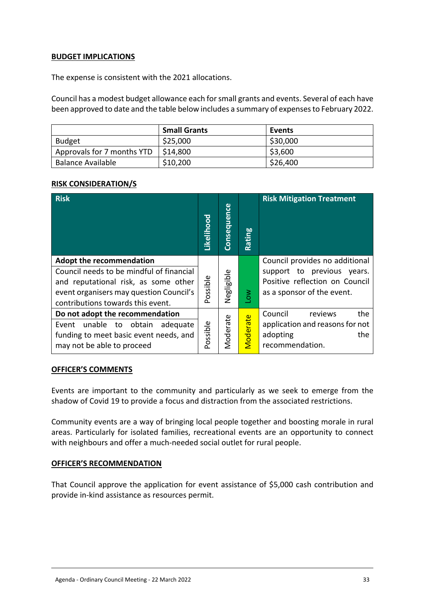## **BUDGET IMPLICATIONS**

The expense is consistent with the 2021 allocations.

Council has a modest budget allowance each for small grants and events. Several of each have been approved to date and the table below includes a summary of expenses to February 2022.

|                            | <b>Small Grants</b> | Events   |
|----------------------------|---------------------|----------|
| <b>Budget</b>              | \$25,000            | \$30,000 |
| Approvals for 7 months YTD | \$14,800            | \$3,600  |
| <b>Balance Available</b>   | \$10,200            | \$26,400 |

## **RISK CONSIDERATION/S**

| <b>Risk</b>                                                                                                                                                                                         | Likelihood | Consequence | Rating   | <b>Risk Mitigation Treatment</b>                                                                                             |
|-----------------------------------------------------------------------------------------------------------------------------------------------------------------------------------------------------|------------|-------------|----------|------------------------------------------------------------------------------------------------------------------------------|
| <b>Adopt the recommendation</b><br>Council needs to be mindful of financial<br>and reputational risk, as some other<br>event organisers may question Council's<br>contributions towards this event. | Possible   | Negligible  | $\geq$   | Council provides no additional<br>support to previous years.<br>Positive reflection on Council<br>as a sponsor of the event. |
| Do not adopt the recommendation<br>unable to<br>obtain<br>adequate<br>Event<br>funding to meet basic event needs, and<br>may not be able to proceed                                                 | Possible   | Moderate    | Moderate | Council<br>the<br>reviews<br>application and reasons for not<br>adopting<br>the<br>recommendation.                           |

#### **OFFICER'S COMMENTS**

Events are important to the community and particularly as we seek to emerge from the shadow of Covid 19 to provide a focus and distraction from the associated restrictions.

Community events are a way of bringing local people together and boosting morale in rural areas. Particularly for isolated families, recreational events are an opportunity to connect with neighbours and offer a much-needed social outlet for rural people.

#### **OFFICER'S RECOMMENDATION**

That Council approve the application for event assistance of \$5,000 cash contribution and provide in-kind assistance as resources permit.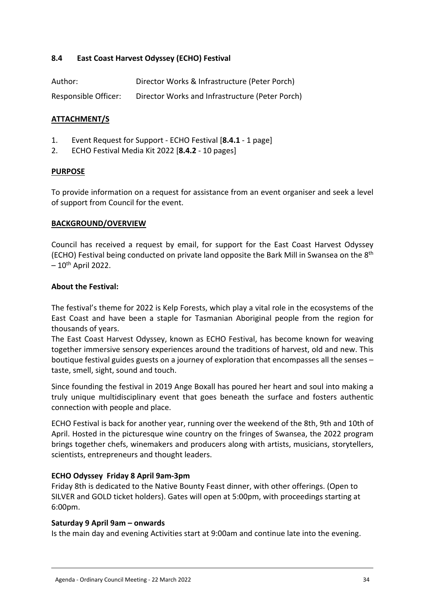## <span id="page-33-0"></span>**8.4 East Coast Harvest Odyssey (ECHO) Festival**

| Author:              | Director Works & Infrastructure (Peter Porch)   |
|----------------------|-------------------------------------------------|
| Responsible Officer: | Director Works and Infrastructure (Peter Porch) |

## **ATTACHMENT/S**

- 1. Event Request for Support ECHO Festival [**8.4.1** 1 page]
- 2. ECHO Festival Media Kit 2022 [**8.4.2** 10 pages]

#### **PURPOSE**

To provide information on a request for assistance from an event organiser and seek a level of support from Council for the event.

#### **BACKGROUND/OVERVIEW**

Council has received a request by email, for support for the East Coast Harvest Odyssey (ECHO) Festival being conducted on private land opposite the Bark Mill in Swansea on the 8th  $-10$ <sup>th</sup> April 2022.

#### **About the Festival:**

The festival's theme for 2022 is Kelp Forests, which play a vital role in the ecosystems of the East Coast and have been a staple for Tasmanian Aboriginal people from the region for thousands of years.

The East Coast Harvest Odyssey, known as ECHO Festival, has become known for weaving together immersive sensory experiences around the traditions of harvest, old and new. This boutique festival guides guests on a journey of exploration that encompasses all the senses – taste, smell, sight, sound and touch.

Since founding the festival in 2019 Ange Boxall has poured her heart and soul into making a truly unique multidisciplinary event that goes beneath the surface and fosters authentic connection with people and place.

ECHO Festival is back for another year, running over the weekend of the 8th, 9th and 10th of April. Hosted in the picturesque wine country on the fringes of Swansea, the 2022 program brings together chefs, winemakers and producers along with artists, musicians, storytellers, scientists, entrepreneurs and thought leaders.

#### **ECHO Odyssey Friday 8 April 9am-3pm**

Friday 8th is dedicated to the Native Bounty Feast dinner, with other offerings. (Open to SILVER and GOLD ticket holders). Gates will open at 5:00pm, with proceedings starting at 6:00pm.

#### **Saturday 9 April 9am – onwards**

Is the main day and evening Activities start at 9:00am and continue late into the evening.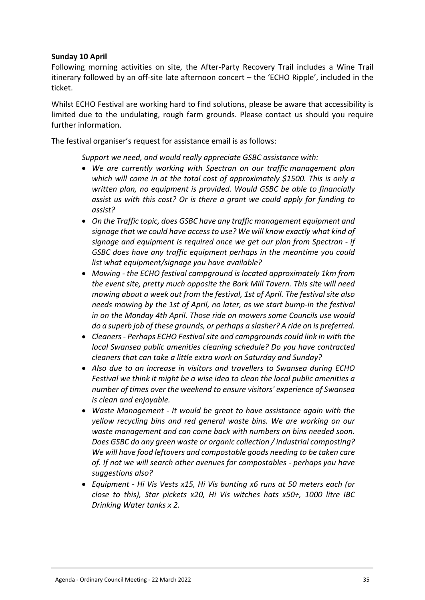## **Sunday 10 April**

Following morning activities on site, the After-Party Recovery Trail includes a Wine Trail itinerary followed by an off-site late afternoon concert – the 'ECHO Ripple', included in the ticket.

Whilst ECHO Festival are working hard to find solutions, please be aware that accessibility is limited due to the undulating, rough farm grounds. Please contact us should you require further information.

The festival organiser's request for assistance email is as follows:

*Support we need, and would really appreciate GSBC assistance with:*

- *We are currently working with Spectran on our traffic management plan which will come in at the total cost of approximately \$1500. This is only a written plan, no equipment is provided. Would GSBC be able to financially assist us with this cost? Or is there a grant we could apply for funding to assist?*
- *On the Traffic topic, does GSBC have any traffic management equipment and signage that we could have access to use? We will know exactly what kind of signage and equipment is required once we get our plan from Spectran - if GSBC does have any traffic equipment perhaps in the meantime you could list what equipment/signage you have available?*
- *Mowing the ECHO festival campground is located approximately 1km from the event site, pretty much opposite the Bark Mill Tavern. This site will need mowing about a week out from the festival, 1st of April. The festival site also needs mowing by the 1st of April, no later, as we start bump-in the festival in on the Monday 4th April. Those ride on mowers some Councils use would do a superb job of these grounds, or perhaps a slasher? A ride on is preferred.*
- *Cleaners Perhaps ECHO Festival site and campgrounds could link in with the local Swansea public amenities cleaning schedule? Do you have contracted cleaners that can take a little extra work on Saturday and Sunday?*
- *Also due to an increase in visitors and travellers to Swansea during ECHO Festival we think it might be a wise idea to clean the local public amenities a number of times over the weekend to ensure visitors' experience of Swansea is clean and enjoyable.*
- *Waste Management It would be great to have assistance again with the yellow recycling bins and red general waste bins. We are working on our waste management and can come back with numbers on bins needed soon. Does GSBC do any green waste or organic collection / industrial composting? We will have food leftovers and compostable goods needing to be taken care of. If not we will search other avenues for compostables - perhaps you have suggestions also?*
- *Equipment Hi Vis Vests x15, Hi Vis bunting x6 runs at 50 meters each (or close to this), Star pickets x20, Hi Vis witches hats x50+, 1000 litre IBC Drinking Water tanks x 2.*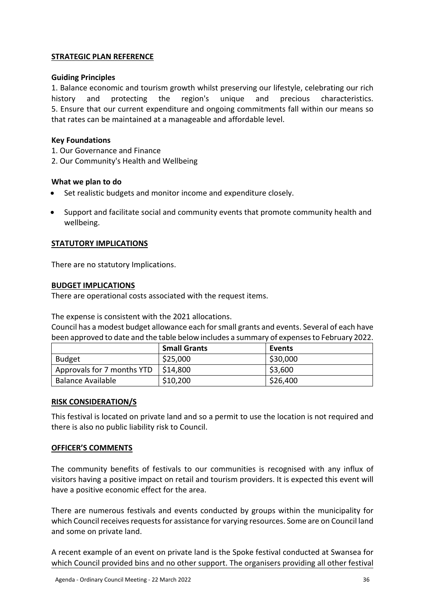## **STRATEGIC PLAN REFERENCE**

#### **Guiding Principles**

1. Balance economic and tourism growth whilst preserving our lifestyle, celebrating our rich history and protecting the region's unique and precious characteristics. 5. Ensure that our current expenditure and ongoing commitments fall within our means so that rates can be maintained at a manageable and affordable level.

#### **Key Foundations**

- 1. Our Governance and Finance
- 2. Our Community's Health and Wellbeing

#### **What we plan to do**

- Set realistic budgets and monitor income and expenditure closely.
- Support and facilitate social and community events that promote community health and wellbeing.

#### **STATUTORY IMPLICATIONS**

There are no statutory Implications.

#### **BUDGET IMPLICATIONS**

There are operational costs associated with the request items.

The expense is consistent with the 2021 allocations.

Council has a modest budget allowance each for small grants and events. Several of each have been approved to date and the table below includes a summary of expenses to February 2022.

|                            | <b>Small Grants</b> | Events   |
|----------------------------|---------------------|----------|
| Budget                     | \$25,000            | \$30,000 |
| Approvals for 7 months YTD | \$14,800            | \$3,600  |
| Balance Available          | \$10,200            | \$26,400 |

#### **RISK CONSIDERATION/S**

This festival is located on private land and so a permit to use the location is not required and there is also no public liability risk to Council.

#### **OFFICER'S COMMENTS**

The community benefits of festivals to our communities is recognised with any influx of visitors having a positive impact on retail and tourism providers. It is expected this event will have a positive economic effect for the area.

There are numerous festivals and events conducted by groups within the municipality for which Council receives requests for assistance for varying resources. Some are on Council land and some on private land.

A recent example of an event on private land is the Spoke festival conducted at Swansea for which Council provided bins and no other support. The organisers providing all other festival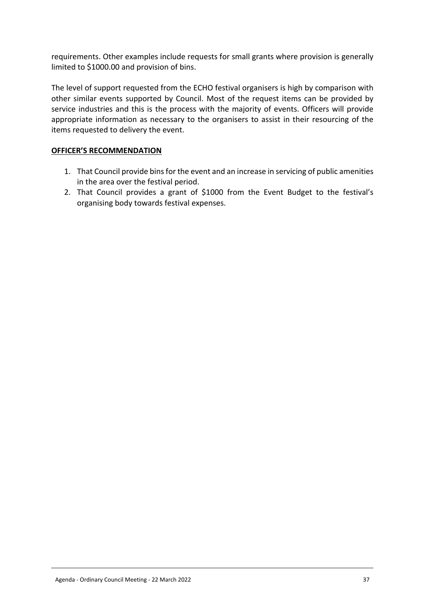requirements. Other examples include requests for small grants where provision is generally limited to \$1000.00 and provision of bins.

The level of support requested from the ECHO festival organisers is high by comparison with other similar events supported by Council. Most of the request items can be provided by service industries and this is the process with the majority of events. Officers will provide appropriate information as necessary to the organisers to assist in their resourcing of the items requested to delivery the event.

## **OFFICER'S RECOMMENDATION**

- 1. That Council provide bins for the event and an increase in servicing of public amenities in the area over the festival period.
- 2. That Council provides a grant of \$1000 from the Event Budget to the festival's organising body towards festival expenses.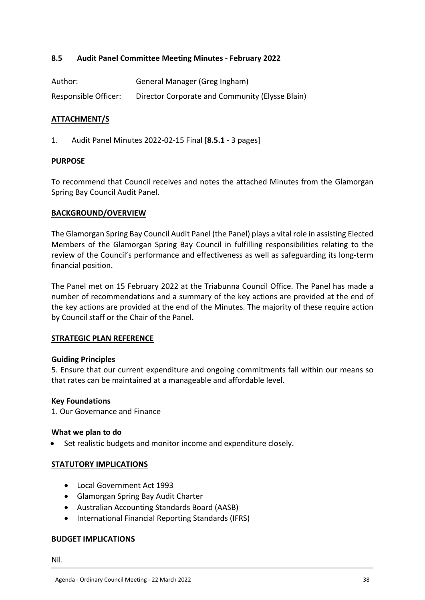## <span id="page-37-0"></span>**8.5 Audit Panel Committee Meeting Minutes - February 2022**

| Author:              | General Manager (Greg Ingham)                   |
|----------------------|-------------------------------------------------|
| Responsible Officer: | Director Corporate and Community (Elysse Blain) |

#### **ATTACHMENT/S**

1. Audit Panel Minutes 2022-02-15 Final [**8.5.1** - 3 pages]

#### **PURPOSE**

To recommend that Council receives and notes the attached Minutes from the Glamorgan Spring Bay Council Audit Panel.

#### **BACKGROUND/OVERVIEW**

The Glamorgan Spring Bay Council Audit Panel (the Panel) plays a vital role in assisting Elected Members of the Glamorgan Spring Bay Council in fulfilling responsibilities relating to the review of the Council's performance and effectiveness as well as safeguarding its long-term financial position.

The Panel met on 15 February 2022 at the Triabunna Council Office. The Panel has made a number of recommendations and a summary of the key actions are provided at the end of the key actions are provided at the end of the Minutes. The majority of these require action by Council staff or the Chair of the Panel.

#### **STRATEGIC PLAN REFERENCE**

#### **Guiding Principles**

5. Ensure that our current expenditure and ongoing commitments fall within our means so that rates can be maintained at a manageable and affordable level.

#### **Key Foundations**

1. Our Governance and Finance

#### **What we plan to do**

Set realistic budgets and monitor income and expenditure closely.

#### **STATUTORY IMPLICATIONS**

- Local Government Act 1993
- Glamorgan Spring Bay Audit Charter
- Australian Accounting Standards Board (AASB)
- International Financial Reporting Standards (IFRS)

#### **BUDGET IMPLICATIONS**

Nil.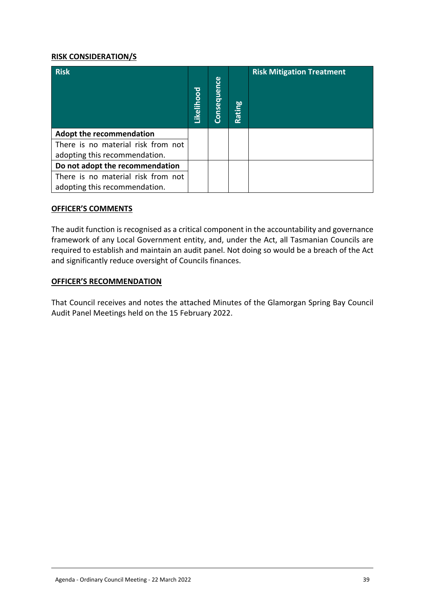#### **RISK CONSIDERATION/S**

| <b>Risk</b>                        | Likelihood | Consequence | Rating | <b>Risk Mitigation Treatment</b> |
|------------------------------------|------------|-------------|--------|----------------------------------|
| <b>Adopt the recommendation</b>    |            |             |        |                                  |
| There is no material risk from not |            |             |        |                                  |
| adopting this recommendation.      |            |             |        |                                  |
| Do not adopt the recommendation    |            |             |        |                                  |
| There is no material risk from not |            |             |        |                                  |
| adopting this recommendation.      |            |             |        |                                  |

#### **OFFICER'S COMMENTS**

The audit function is recognised as a critical component in the accountability and governance framework of any Local Government entity, and, under the Act, all Tasmanian Councils are required to establish and maintain an audit panel. Not doing so would be a breach of the Act and significantly reduce oversight of Councils finances.

#### **OFFICER'S RECOMMENDATION**

That Council receives and notes the attached Minutes of the Glamorgan Spring Bay Council Audit Panel Meetings held on the 15 February 2022.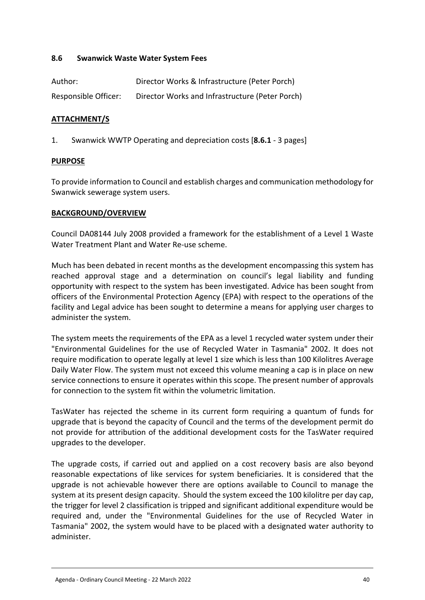## <span id="page-39-0"></span>**8.6 Swanwick Waste Water System Fees**

| Author:              | Director Works & Infrastructure (Peter Porch)   |
|----------------------|-------------------------------------------------|
| Responsible Officer: | Director Works and Infrastructure (Peter Porch) |

## **ATTACHMENT/S**

1. Swanwick WWTP Operating and depreciation costs [**8.6.1** - 3 pages]

#### **PURPOSE**

To provide information to Council and establish charges and communication methodology for Swanwick sewerage system users.

#### **BACKGROUND/OVERVIEW**

Council DA08144 July 2008 provided a framework for the establishment of a Level 1 Waste Water Treatment Plant and Water Re-use scheme.

Much has been debated in recent months as the development encompassing this system has reached approval stage and a determination on council's legal liability and funding opportunity with respect to the system has been investigated. Advice has been sought from officers of the Environmental Protection Agency (EPA) with respect to the operations of the facility and Legal advice has been sought to determine a means for applying user charges to administer the system.

The system meets the requirements of the EPA as a level 1 recycled water system under their "Environmental Guidelines for the use of Recycled Water in Tasmania" 2002. It does not require modification to operate legally at level 1 size which is less than 100 Kilolitres Average Daily Water Flow. The system must not exceed this volume meaning a cap is in place on new service connections to ensure it operates within this scope. The present number of approvals for connection to the system fit within the volumetric limitation.

TasWater has rejected the scheme in its current form requiring a quantum of funds for upgrade that is beyond the capacity of Council and the terms of the development permit do not provide for attribution of the additional development costs for the TasWater required upgrades to the developer.

The upgrade costs, if carried out and applied on a cost recovery basis are also beyond reasonable expectations of like services for system beneficiaries. It is considered that the upgrade is not achievable however there are options available to Council to manage the system at its present design capacity. Should the system exceed the 100 kilolitre per day cap, the trigger for level 2 classification is tripped and significant additional expenditure would be required and, under the "Environmental Guidelines for the use of Recycled Water in Tasmania" 2002, the system would have to be placed with a designated water authority to administer.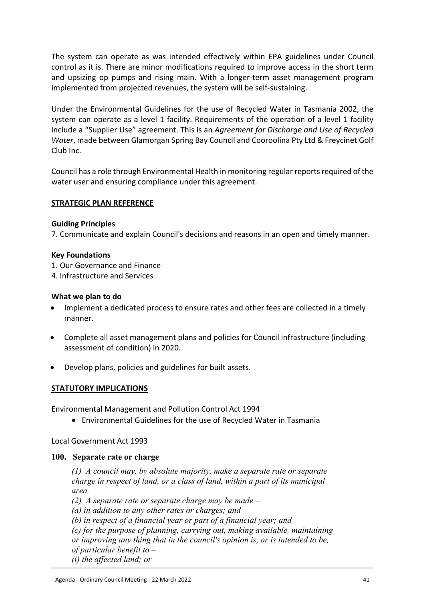The system can operate as was intended effectively within EPA guidelines under Council control as it is. There are minor modifications required to improve access in the short term and upsizing op pumps and rising main. With a longer-term asset management program implemented from projected revenues, the system will be self-sustaining.

Under the Environmental Guidelines for the use of Recycled Water in Tasmania 2002, the system can operate as a level 1 facility. Requirements of the operation of a level 1 facility include a "Supplier Use" agreement. This is an *Agreement for Discharge and Use of Recycled Water*, made between Glamorgan Spring Bay Council and Cooroolina Pty Ltd & Freycinet Golf Club Inc.

Council has a role through Environmental Health in monitoring regular reports required of the water user and ensuring compliance under this agreement.

## **STRATEGIC PLAN REFERENCE**

#### **Guiding Principles**

7. Communicate and explain Council's decisions and reasons in an open and timely manner.

#### **Key Foundations**

1. Our Governance and Finance

4. Infrastructure and Services

## **What we plan to do**

- Implement a dedicated process to ensure rates and other fees are collected in a timely manner.
- Complete all asset management plans and policies for Council infrastructure (including assessment of condition) in 2020.
- Develop plans, policies and guidelines for built assets.

## **STATUTORY IMPLICATIONS**

Environmental Management and Pollution Control Act 1994

Environmental Guidelines for the use of Recycled Water in Tasmania

Local Government Act 1993

#### **100. Separate rate or charge**

*(1) A council may, by absolute majority, make a separate rate or separate charge in respect of land, or a class of land, within a part of its municipal area.*

*(2) A separate rate or separate charge may be made –*

*(a) in addition to any other rates or charges; and*

*(b) in respect of a financial year or part of a financial year; and*

*(c) for the purpose of planning, carrying out, making available, maintaining* 

*or improving any thing that in the council's opinion is, or is intended to be,* 

*of particular benefit to –*

*(i) the affected land; or*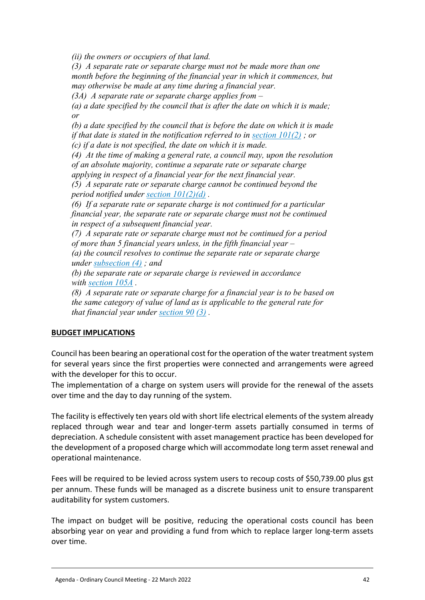*(ii) the owners or occupiers of that land.*

*(3) A separate rate or separate charge must not be made more than one month before the beginning of the financial year in which it commences, but may otherwise be made at any time during a financial year.*

*(3A) A separate rate or separate charge applies from –*

*(a) a date specified by the council that is after the date on which it is made; or*

*(b) a date specified by the council that is before the date on which it is made if that date is stated in the notification referred to in [section 101\(2\)](https://www.legislation.tas.gov.au/view/html/inforce/current/act-1993-095#GS101@Gs2@EN) ; or (c) if a date is not specified, the date on which it is made.*

*(4) At the time of making a general rate, a council may, upon the resolution of an absolute majority, continue a separate rate or separate charge applying in respect of a financial year for the next financial year.*

*(5) A separate rate or separate charge cannot be continued beyond the period notified under [section 101\(2\)\(d\)](https://www.legislation.tas.gov.au/view/html/inforce/current/act-1993-095#GS101@Gs2@Hpd@EN) .*

*(6) If a separate rate or separate charge is not continued for a particular financial year, the separate rate or separate charge must not be continued in respect of a subsequent financial year.*

*(7) A separate rate or separate charge must not be continued for a period of more than 5 financial years unless, in the fifth financial year –*

*(a) the council resolves to continue the separate rate or separate charge under [subsection \(4\)](https://www.legislation.tas.gov.au/view/html/inforce/current/act-1993-095#GS100@Gs4@EN) ; and*

*(b) the separate rate or separate charge is reviewed in accordance with [section 105A](https://www.legislation.tas.gov.au/view/html/inforce/current/act-1993-095#GS105A@EN) .*

*(8) A separate rate or separate charge for a financial year is to be based on the same category of value of land as is applicable to the general rate for that financial year under [section 90](https://www.legislation.tas.gov.au/view/html/inforce/current/act-1993-095#GS90@EN) [\(3\)](https://www.legislation.tas.gov.au/view/html/inforce/current/act-1993-095#GS90@Gs3@EN) .*

## **BUDGET IMPLICATIONS**

Council has been bearing an operational cost for the operation of the water treatment system for several years since the first properties were connected and arrangements were agreed with the developer for this to occur.

The implementation of a charge on system users will provide for the renewal of the assets over time and the day to day running of the system.

The facility is effectively ten years old with short life electrical elements of the system already replaced through wear and tear and longer-term assets partially consumed in terms of depreciation. A schedule consistent with asset management practice has been developed for the development of a proposed charge which will accommodate long term asset renewal and operational maintenance.

Fees will be required to be levied across system users to recoup costs of \$50,739.00 plus gst per annum. These funds will be managed as a discrete business unit to ensure transparent auditability for system customers.

The impact on budget will be positive, reducing the operational costs council has been absorbing year on year and providing a fund from which to replace larger long-term assets over time.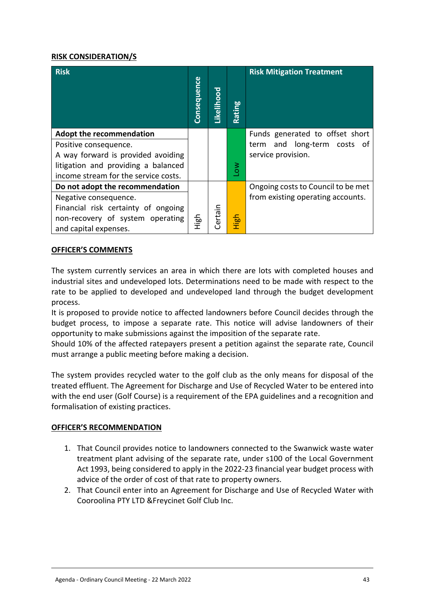## **RISK CONSIDERATION/S**

| <b>Risk</b>                          | Consequence | Likelihood | Rating         | <b>Risk Mitigation Treatment</b>   |
|--------------------------------------|-------------|------------|----------------|------------------------------------|
| <b>Adopt the recommendation</b>      |             |            |                | Funds generated to offset short    |
| Positive consequence.                |             |            |                | and long-term costs of<br>term     |
| A way forward is provided avoiding   |             |            |                | service provision.                 |
| litigation and providing a balanced  |             |            | δ <sub>ι</sub> |                                    |
| income stream for the service costs. |             |            |                |                                    |
| Do not adopt the recommendation      |             |            |                | Ongoing costs to Council to be met |
| Negative consequence.                |             |            |                | from existing operating accounts.  |
| Financial risk certainty of ongoing  |             |            |                |                                    |
| non-recovery of system operating     | 스<br>도이     | Certain    | High           |                                    |
| and capital expenses.                |             |            |                |                                    |

#### **OFFICER'S COMMENTS**

The system currently services an area in which there are lots with completed houses and industrial sites and undeveloped lots. Determinations need to be made with respect to the rate to be applied to developed and undeveloped land through the budget development process.

It is proposed to provide notice to affected landowners before Council decides through the budget process, to impose a separate rate. This notice will advise landowners of their opportunity to make submissions against the imposition of the separate rate.

Should 10% of the affected ratepayers present a petition against the separate rate, Council must arrange a public meeting before making a decision.

The system provides recycled water to the golf club as the only means for disposal of the treated effluent. The Agreement for Discharge and Use of Recycled Water to be entered into with the end user (Golf Course) is a requirement of the EPA guidelines and a recognition and formalisation of existing practices.

## **OFFICER'S RECOMMENDATION**

- 1. That Council provides notice to landowners connected to the Swanwick waste water treatment plant advising of the separate rate, under s100 of the Local Government Act 1993, being considered to apply in the 2022-23 financial year budget process with advice of the order of cost of that rate to property owners.
- 2. That Council enter into an Agreement for Discharge and Use of Recycled Water with Cooroolina PTY LTD &Freycinet Golf Club Inc.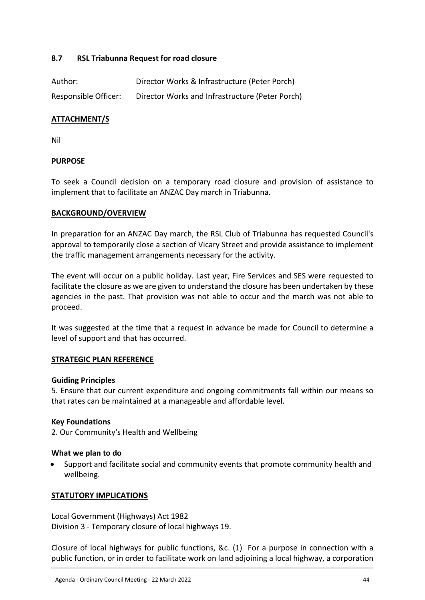## <span id="page-43-0"></span>**8.7 RSL Triabunna Request for road closure**

| Author:              | Director Works & Infrastructure (Peter Porch)   |
|----------------------|-------------------------------------------------|
| Responsible Officer: | Director Works and Infrastructure (Peter Porch) |

## **ATTACHMENT/S**

Nil

#### **PURPOSE**

To seek a Council decision on a temporary road closure and provision of assistance to implement that to facilitate an ANZAC Day march in Triabunna.

#### **BACKGROUND/OVERVIEW**

In preparation for an ANZAC Day march, the RSL Club of Triabunna has requested Council's approval to temporarily close a section of Vicary Street and provide assistance to implement the traffic management arrangements necessary for the activity.

The event will occur on a public holiday. Last year, Fire Services and SES were requested to facilitate the closure as we are given to understand the closure has been undertaken by these agencies in the past. That provision was not able to occur and the march was not able to proceed.

It was suggested at the time that a request in advance be made for Council to determine a level of support and that has occurred.

#### **STRATEGIC PLAN REFERENCE**

#### **Guiding Principles**

5. Ensure that our current expenditure and ongoing commitments fall within our means so that rates can be maintained at a manageable and affordable level.

#### **Key Foundations**

2. Our Community's Health and Wellbeing

#### **What we plan to do**

 Support and facilitate social and community events that promote community health and wellbeing.

#### **STATUTORY IMPLICATIONS**

Local Government (Highways) Act 1982 Division 3 - Temporary closure of local highways 19.

Closure of local highways for public functions, &c. (1) For a purpose in connection with a public function, or in order to facilitate work on land adjoining a local highway, a corporation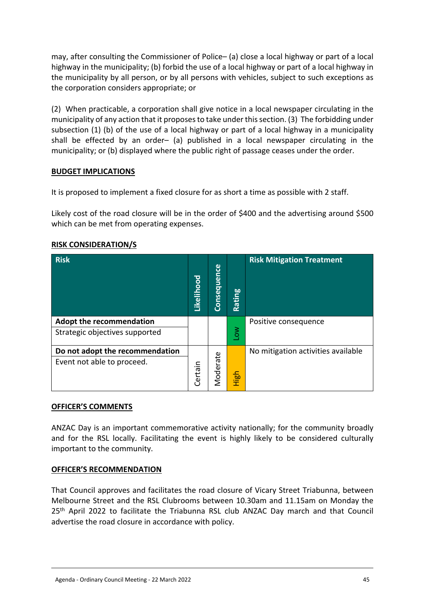may, after consulting the Commissioner of Police– (a) close a local highway or part of a local highway in the municipality; (b) forbid the use of a local highway or part of a local highway in the municipality by all person, or by all persons with vehicles, subject to such exceptions as the corporation considers appropriate; or

(2) When practicable, a corporation shall give notice in a local newspaper circulating in the municipality of any action that it proposes to take under this section. (3) The forbidding under subsection (1) (b) of the use of a local highway or part of a local highway in a municipality shall be effected by an order– (a) published in a local newspaper circulating in the municipality; or (b) displayed where the public right of passage ceases under the order.

## **BUDGET IMPLICATIONS**

It is proposed to implement a fixed closure for as short a time as possible with 2 staff.

Likely cost of the road closure will be in the order of \$400 and the advertising around \$500 which can be met from operating expenses.

| <b>Risk</b>                                                       | Likelihood | Consequence | <b>bo</b><br>tin<br><b>Ra</b> | <b>Risk Mitigation Treatment</b>   |
|-------------------------------------------------------------------|------------|-------------|-------------------------------|------------------------------------|
| <b>Adopt the recommendation</b><br>Strategic objectives supported |            |             | $\sum_{i=1}^{\infty}$         | Positive consequence               |
| Do not adopt the recommendation<br>Event not able to proceed.     | Certain    | Moderate    | High                          | No mitigation activities available |

## **RISK CONSIDERATION/S**

#### **OFFICER'S COMMENTS**

ANZAC Day is an important commemorative activity nationally; for the community broadly and for the RSL locally. Facilitating the event is highly likely to be considered culturally important to the community.

## **OFFICER'S RECOMMENDATION**

That Council approves and facilitates the road closure of Vicary Street Triabunna, between Melbourne Street and the RSL Clubrooms between 10.30am and 11.15am on Monday the 25<sup>th</sup> April 2022 to facilitate the Triabunna RSL club ANZAC Day march and that Council advertise the road closure in accordance with policy.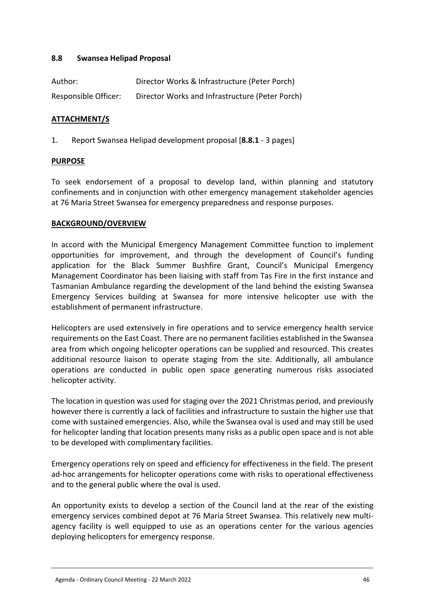## <span id="page-45-0"></span>**8.8 Swansea Helipad Proposal**

| Author:              | Director Works & Infrastructure (Peter Porch)   |
|----------------------|-------------------------------------------------|
| Responsible Officer: | Director Works and Infrastructure (Peter Porch) |

## **ATTACHMENT/S**

1. Report Swansea Helipad development proposal [**8.8.1** - 3 pages]

#### **PURPOSE**

To seek endorsement of a proposal to develop land, within planning and statutory confinements and in conjunction with other emergency management stakeholder agencies at 76 Maria Street Swansea for emergency preparedness and response purposes.

## **BACKGROUND/OVERVIEW**

In accord with the Municipal Emergency Management Committee function to implement opportunities for improvement, and through the development of Council's funding application for the Black Summer Bushfire Grant, Council's Municipal Emergency Management Coordinator has been liaising with staff from Tas Fire in the first instance and Tasmanian Ambulance regarding the development of the land behind the existing Swansea Emergency Services building at Swansea for more intensive helicopter use with the establishment of permanent infrastructure.

Helicopters are used extensively in fire operations and to service emergency health service requirements on the East Coast. There are no permanent facilities established in the Swansea area from which ongoing helicopter operations can be supplied and resourced. This creates additional resource liaison to operate staging from the site. Additionally, all ambulance operations are conducted in public open space generating numerous risks associated helicopter activity.

The location in question was used for staging over the 2021 Christmas period, and previously however there is currently a lack of facilities and infrastructure to sustain the higher use that come with sustained emergencies. Also, while the Swansea oval is used and may still be used for helicopter landing that location presents many risks as a public open space and is not able to be developed with complimentary facilities.

Emergency operations rely on speed and efficiency for effectiveness in the field. The present ad-hoc arrangements for helicopter operations come with risks to operational effectiveness and to the general public where the oval is used.

An opportunity exists to develop a section of the Council land at the rear of the existing emergency services combined depot at 76 Maria Street Swansea. This relatively new multiagency facility is well equipped to use as an operations center for the various agencies deploying helicopters for emergency response.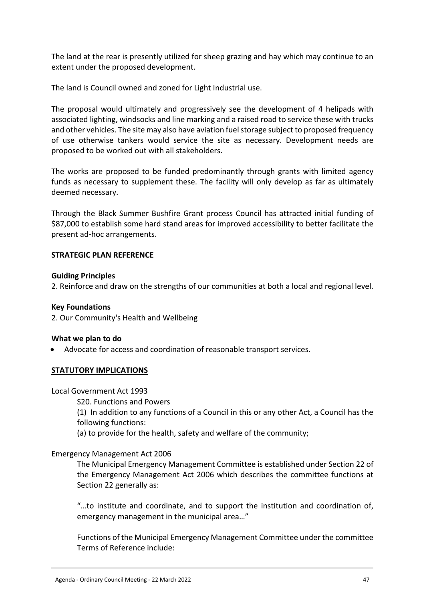The land at the rear is presently utilized for sheep grazing and hay which may continue to an extent under the proposed development.

The land is Council owned and zoned for Light Industrial use.

The proposal would ultimately and progressively see the development of 4 helipads with associated lighting, windsocks and line marking and a raised road to service these with trucks and other vehicles. The site may also have aviation fuel storage subject to proposed frequency of use otherwise tankers would service the site as necessary. Development needs are proposed to be worked out with all stakeholders.

The works are proposed to be funded predominantly through grants with limited agency funds as necessary to supplement these. The facility will only develop as far as ultimately deemed necessary.

Through the Black Summer Bushfire Grant process Council has attracted initial funding of \$87,000 to establish some hard stand areas for improved accessibility to better facilitate the present ad-hoc arrangements.

#### **STRATEGIC PLAN REFERENCE**

#### **Guiding Principles**

2. Reinforce and draw on the strengths of our communities at both a local and regional level.

#### **Key Foundations**

2. Our Community's Health and Wellbeing

#### **What we plan to do**

Advocate for access and coordination of reasonable transport services.

#### **STATUTORY IMPLICATIONS**

#### Local Government Act 1993

S20. Functions and Powers

(1) In addition to any functions of a Council in this or any other Act, a Council has the following functions:

(a) to provide for the health, safety and welfare of the community;

#### Emergency Management Act 2006

The Municipal Emergency Management Committee is established under Section 22 of the Emergency Management Act 2006 which describes the committee functions at Section 22 generally as:

"…to institute and coordinate, and to support the institution and coordination of, emergency management in the municipal area…"

Functions of the Municipal Emergency Management Committee under the committee Terms of Reference include: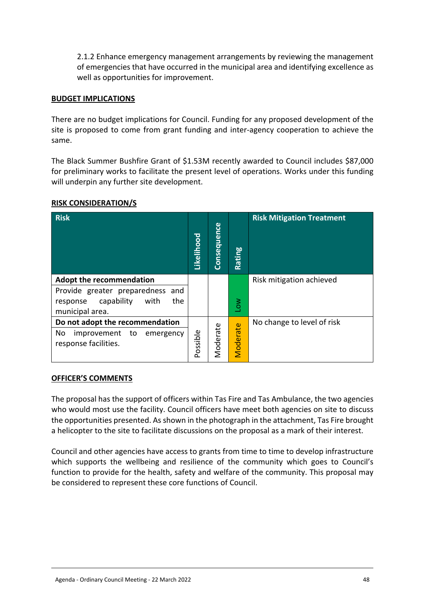2.1.2 Enhance emergency management arrangements by reviewing the management of emergencies that have occurred in the municipal area and identifying excellence as well as opportunities for improvement.

#### **BUDGET IMPLICATIONS**

There are no budget implications for Council. Funding for any proposed development of the site is proposed to come from grant funding and inter-agency cooperation to achieve the same.

The Black Summer Bushfire Grant of \$1.53M recently awarded to Council includes \$87,000 for preliminary works to facilitate the present level of operations. Works under this funding will underpin any further site development.

| <b>Risk</b>                                                                                                                     | Likelihood | Consequence | Rating                | <b>Risk Mitigation Treatment</b> |
|---------------------------------------------------------------------------------------------------------------------------------|------------|-------------|-----------------------|----------------------------------|
| <b>Adopt the recommendation</b><br>Provide greater preparedness and<br>capability<br>with<br>the<br>response<br>municipal area. |            |             | $\sum_{i=1}^{\infty}$ | Risk mitigation achieved         |
| Do not adopt the recommendation<br>No<br>improvement<br>to<br>emergency<br>response facilities.                                 | Possible   | Moderate    | Moderate              | No change to level of risk       |

#### **RISK CONSIDERATION/S**

#### **OFFICER'S COMMENTS**

The proposal has the support of officers within Tas Fire and Tas Ambulance, the two agencies who would most use the facility. Council officers have meet both agencies on site to discuss the opportunities presented. As shown in the photograph in the attachment, Tas Fire brought a helicopter to the site to facilitate discussions on the proposal as a mark of their interest.

Council and other agencies have access to grants from time to time to develop infrastructure which supports the wellbeing and resilience of the community which goes to Council's function to provide for the health, safety and welfare of the community. This proposal may be considered to represent these core functions of Council.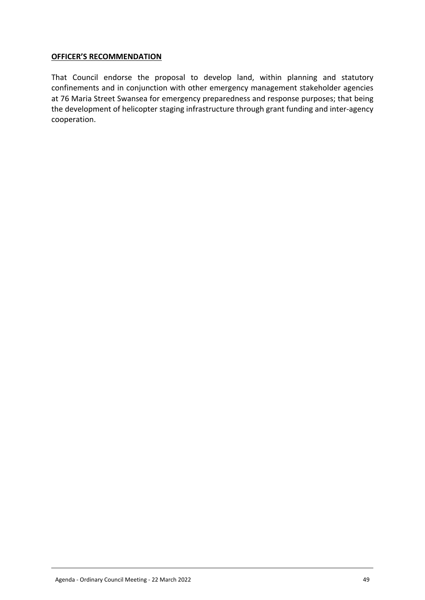## **OFFICER'S RECOMMENDATION**

That Council endorse the proposal to develop land, within planning and statutory confinements and in conjunction with other emergency management stakeholder agencies at 76 Maria Street Swansea for emergency preparedness and response purposes; that being the development of helicopter staging infrastructure through grant funding and inter-agency cooperation.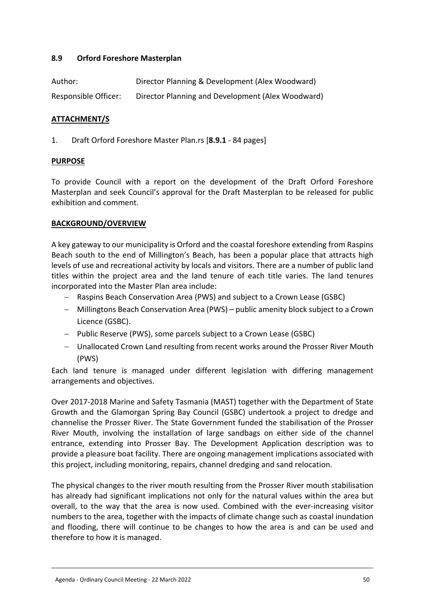## <span id="page-49-0"></span>**8.9 Orford Foreshore Masterplan**

| Author:              | Director Planning & Development (Alex Woodward)   |
|----------------------|---------------------------------------------------|
| Responsible Officer: | Director Planning and Development (Alex Woodward) |

## **ATTACHMENT/S**

1. Draft Orford Foreshore Master Plan.rs [**8.9.1** - 84 pages]

#### **PURPOSE**

To provide Council with a report on the development of the Draft Orford Foreshore Masterplan and seek Council's approval for the Draft Masterplan to be released for public exhibition and comment.

## **BACKGROUND/OVERVIEW**

A key gateway to our municipality is Orford and the coastal foreshore extending from Raspins Beach south to the end of Millington's Beach, has been a popular place that attracts high levels of use and recreational activity by locals and visitors. There are a number of public land titles within the project area and the land tenure of each title varies. The land tenures incorporated into the Master Plan area include:

- Raspins Beach Conservation Area (PWS) and subject to a Crown Lease (GSBC)
- Millingtons Beach Conservation Area (PWS) public amenity block subject to a Crown Licence (GSBC).
- $-$  Public Reserve (PWS), some parcels subject to a Crown Lease (GSBC)
- Unallocated Crown Land resulting from recent works around the Prosser River Mouth (PWS)

Each land tenure is managed under different legislation with differing management arrangements and objectives.

Over 2017-2018 Marine and Safety Tasmania (MAST) together with the Department of State Growth and the Glamorgan Spring Bay Council (GSBC) undertook a project to dredge and channelise the Prosser River. The State Government funded the stabilisation of the Prosser River Mouth, involving the installation of large sandbags on either side of the channel entrance, extending into Prosser Bay. The Development Application description was to provide a pleasure boat facility. There are ongoing management implications associated with this project, including monitoring, repairs, channel dredging and sand relocation.

The physical changes to the river mouth resulting from the Prosser River mouth stabilisation has already had significant implications not only for the natural values within the area but overall, to the way that the area is now used. Combined with the ever-increasing visitor numbers to the area, together with the impacts of climate change such as coastal inundation and flooding, there will continue to be changes to how the area is and can be used and therefore to how it is managed.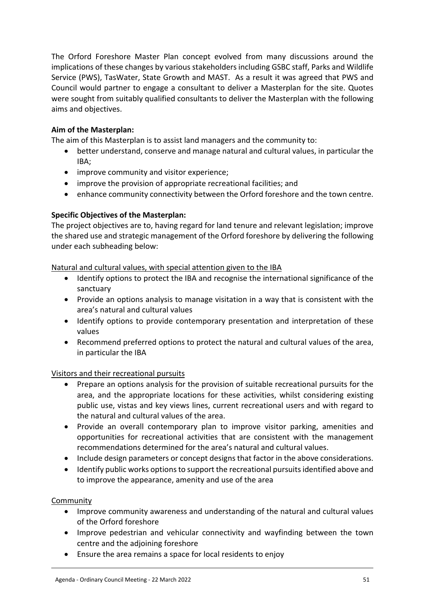The Orford Foreshore Master Plan concept evolved from many discussions around the implications of these changes by various stakeholders including GSBC staff, Parks and Wildlife Service (PWS), TasWater, State Growth and MAST. As a result it was agreed that PWS and Council would partner to engage a consultant to deliver a Masterplan for the site. Quotes were sought from suitably qualified consultants to deliver the Masterplan with the following aims and objectives.

## **Aim of the Masterplan:**

The aim of this Masterplan is to assist land managers and the community to:

- better understand, conserve and manage natural and cultural values, in particular the IBA;
- improve community and visitor experience;
- improve the provision of appropriate recreational facilities; and
- enhance community connectivity between the Orford foreshore and the town centre.

## **Specific Objectives of the Masterplan:**

The project objectives are to, having regard for land tenure and relevant legislation; improve the shared use and strategic management of the Orford foreshore by delivering the following under each subheading below:

#### Natural and cultural values, with special attention given to the IBA

- Identify options to protect the IBA and recognise the international significance of the sanctuary
- Provide an options analysis to manage visitation in a way that is consistent with the area's natural and cultural values
- Identify options to provide contemporary presentation and interpretation of these values
- Recommend preferred options to protect the natural and cultural values of the area, in particular the IBA

#### Visitors and their recreational pursuits

- Prepare an options analysis for the provision of suitable recreational pursuits for the area, and the appropriate locations for these activities, whilst considering existing public use, vistas and key views lines, current recreational users and with regard to the natural and cultural values of the area.
- Provide an overall contemporary plan to improve visitor parking, amenities and opportunities for recreational activities that are consistent with the management recommendations determined for the area's natural and cultural values.
- Include design parameters or concept designs that factor in the above considerations.
- Identify public works options to support the recreational pursuits identified above and to improve the appearance, amenity and use of the area

#### Community

- Improve community awareness and understanding of the natural and cultural values of the Orford foreshore
- Improve pedestrian and vehicular connectivity and wayfinding between the town centre and the adjoining foreshore
- Ensure the area remains a space for local residents to enjoy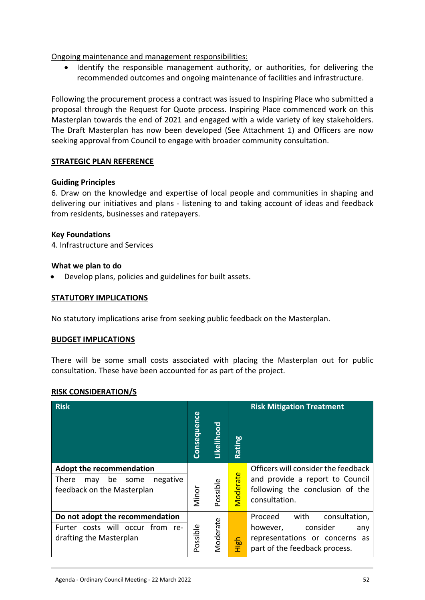Ongoing maintenance and management responsibilities:

 Identify the responsible management authority, or authorities, for delivering the recommended outcomes and ongoing maintenance of facilities and infrastructure.

Following the procurement process a contract was issued to Inspiring Place who submitted a proposal through the Request for Quote process. Inspiring Place commenced work on this Masterplan towards the end of 2021 and engaged with a wide variety of key stakeholders. The Draft Masterplan has now been developed (See Attachment 1) and Officers are now seeking approval from Council to engage with broader community consultation.

## **STRATEGIC PLAN REFERENCE**

## **Guiding Principles**

6. Draw on the knowledge and expertise of local people and communities in shaping and delivering our initiatives and plans - listening to and taking account of ideas and feedback from residents, businesses and ratepayers.

## **Key Foundations**

4. Infrastructure and Services

## **What we plan to do**

Develop plans, policies and guidelines for built assets.

#### **STATUTORY IMPLICATIONS**

No statutory implications arise from seeking public feedback on the Masterplan.

#### **BUDGET IMPLICATIONS**

There will be some small costs associated with placing the Masterplan out for public consultation. These have been accounted for as part of the project.

#### **RISK CONSIDERATION/S**

| <b>Risk</b>                                                                                                    | Consequence | Likelihood          | ဗူ<br>Ratiı | <b>Risk Mitigation Treatment</b>                                                                                                   |
|----------------------------------------------------------------------------------------------------------------|-------------|---------------------|-------------|------------------------------------------------------------------------------------------------------------------------------------|
| <b>Adopt the recommendation</b><br><b>There</b><br>negative<br>be<br>some<br>may<br>feedback on the Masterplan | Minor       | ossible<br>$\Omega$ | Vloderate   | Officers will consider the feedback<br>and provide a report to Council<br>following the conclusion of the<br>consultation.         |
| Do not adopt the recommendation<br>Furter costs will occur from re-<br>drafting the Masterplan                 | Possible    | Moderate            | 돎<br>Ξ      | with<br>consultation,<br>Proceed<br>consider<br>however,<br>any<br>representations or concerns as<br>part of the feedback process. |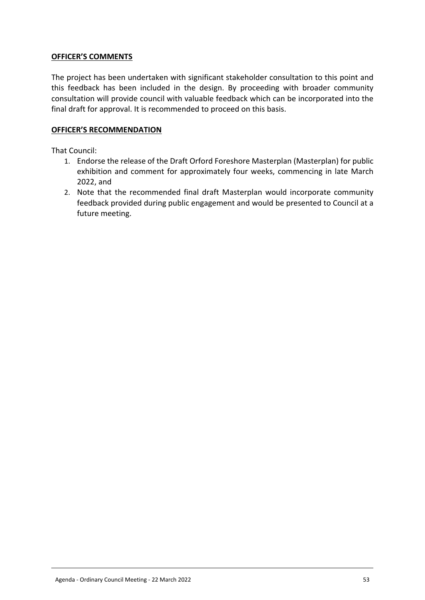## **OFFICER'S COMMENTS**

The project has been undertaken with significant stakeholder consultation to this point and this feedback has been included in the design. By proceeding with broader community consultation will provide council with valuable feedback which can be incorporated into the final draft for approval. It is recommended to proceed on this basis.

#### **OFFICER'S RECOMMENDATION**

That Council:

- 1. Endorse the release of the Draft Orford Foreshore Masterplan (Masterplan) for public exhibition and comment for approximately four weeks, commencing in late March 2022, and
- 2. Note that the recommended final draft Masterplan would incorporate community feedback provided during public engagement and would be presented to Council at a future meeting.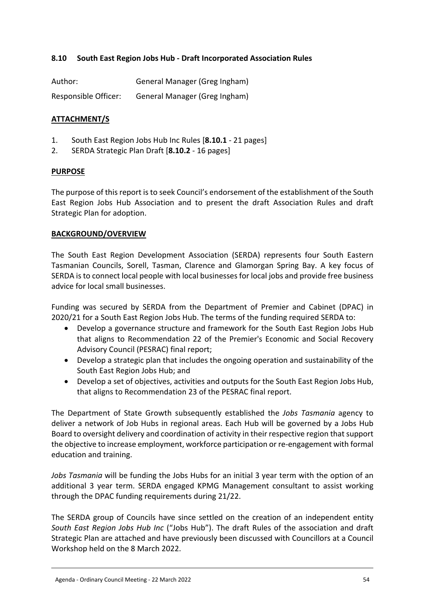## <span id="page-53-0"></span>**8.10 South East Region Jobs Hub - Draft Incorporated Association Rules**

| Author:              | General Manager (Greg Ingham) |
|----------------------|-------------------------------|
| Responsible Officer: | General Manager (Greg Ingham) |

## **ATTACHMENT/S**

- 1. South East Region Jobs Hub Inc Rules [**8.10.1** 21 pages]
- 2. SERDA Strategic Plan Draft [**8.10.2** 16 pages]

#### **PURPOSE**

The purpose of this report is to seek Council's endorsement of the establishment of the South East Region Jobs Hub Association and to present the draft Association Rules and draft Strategic Plan for adoption.

## **BACKGROUND/OVERVIEW**

The South East Region Development Association (SERDA) represents four South Eastern Tasmanian Councils, Sorell, Tasman, Clarence and Glamorgan Spring Bay. A key focus of SERDA is to connect local people with local businesses for local jobs and provide free business advice for local small businesses.

Funding was secured by SERDA from the Department of Premier and Cabinet (DPAC) in 2020/21 for a South East Region Jobs Hub. The terms of the funding required SERDA to:

- Develop a governance structure and framework for the South East Region Jobs Hub that aligns to Recommendation 22 of the Premier's Economic and Social Recovery Advisory Council (PESRAC) final report;
- Develop a strategic plan that includes the ongoing operation and sustainability of the South East Region Jobs Hub; and
- Develop a set of objectives, activities and outputs for the South East Region Jobs Hub, that aligns to Recommendation 23 of the PESRAC final report.

The Department of State Growth subsequently established the *Jobs Tasmania* agency to deliver a network of Job Hubs in regional areas. Each Hub will be governed by a Jobs Hub Board to oversight delivery and coordination of activity in their respective region that support the objective to increase employment, workforce participation or re-engagement with formal education and training.

*Jobs Tasmania* will be funding the Jobs Hubs for an initial 3 year term with the option of an additional 3 year term. SERDA engaged KPMG Management consultant to assist working through the DPAC funding requirements during 21/22.

The SERDA group of Councils have since settled on the creation of an independent entity *South East Region Jobs Hub Inc* ("Jobs Hub"). The draft Rules of the association and draft Strategic Plan are attached and have previously been discussed with Councillors at a Council Workshop held on the 8 March 2022.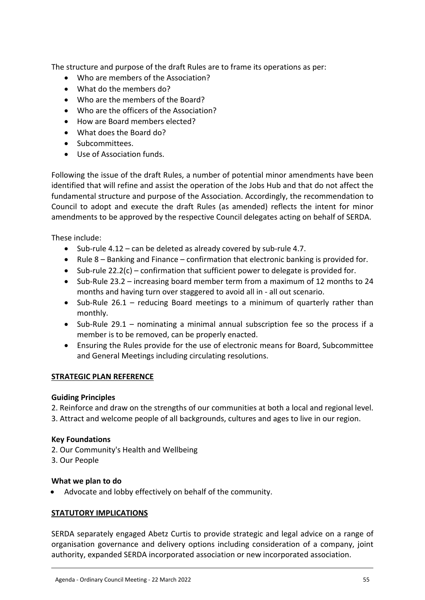The structure and purpose of the draft Rules are to frame its operations as per:

- Who are members of the Association?
- What do the members do?
- Who are the members of the Board?
- Who are the officers of the Association?
- How are Board members elected?
- What does the Board do?
- Subcommittees.
- Use of Association funds.

Following the issue of the draft Rules, a number of potential minor amendments have been identified that will refine and assist the operation of the Jobs Hub and that do not affect the fundamental structure and purpose of the Association. Accordingly, the recommendation to Council to adopt and execute the draft Rules (as amended) reflects the intent for minor amendments to be approved by the respective Council delegates acting on behalf of SERDA.

These include:

- $\bullet$  Sub-rule 4.12 can be deleted as already covered by sub-rule 4.7.
- Rule 8 Banking and Finance confirmation that electronic banking is provided for.
- $\bullet$  Sub-rule 22.2(c) confirmation that sufficient power to delegate is provided for.
- Sub-Rule 23.2 increasing board member term from a maximum of 12 months to 24 months and having turn over staggered to avoid all in - all out scenario.
- Sub-Rule 26.1 reducing Board meetings to a minimum of quarterly rather than monthly.
- Sub-Rule 29.1 nominating a minimal annual subscription fee so the process if a member is to be removed, can be properly enacted.
- Ensuring the Rules provide for the use of electronic means for Board, Subcommittee and General Meetings including circulating resolutions.

#### **STRATEGIC PLAN REFERENCE**

#### **Guiding Principles**

2. Reinforce and draw on the strengths of our communities at both a local and regional level.

3. Attract and welcome people of all backgrounds, cultures and ages to live in our region.

#### **Key Foundations**

- 2. Our Community's Health and Wellbeing
- 3. Our People

#### **What we plan to do**

Advocate and lobby effectively on behalf of the community.

#### **STATUTORY IMPLICATIONS**

SERDA separately engaged Abetz Curtis to provide strategic and legal advice on a range of organisation governance and delivery options including consideration of a company, joint authority, expanded SERDA incorporated association or new incorporated association.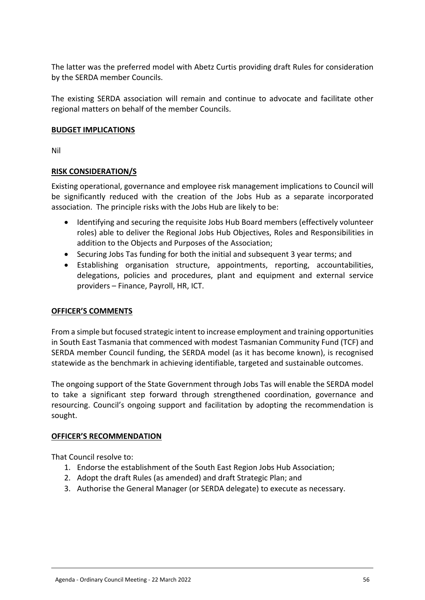The latter was the preferred model with Abetz Curtis providing draft Rules for consideration by the SERDA member Councils.

The existing SERDA association will remain and continue to advocate and facilitate other regional matters on behalf of the member Councils.

## **BUDGET IMPLICATIONS**

Nil

## **RISK CONSIDERATION/S**

Existing operational, governance and employee risk management implications to Council will be significantly reduced with the creation of the Jobs Hub as a separate incorporated association. The principle risks with the Jobs Hub are likely to be:

- Identifying and securing the requisite Jobs Hub Board members (effectively volunteer roles) able to deliver the Regional Jobs Hub Objectives, Roles and Responsibilities in addition to the Objects and Purposes of the Association;
- Securing Jobs Tas funding for both the initial and subsequent 3 year terms; and
- Establishing organisation structure, appointments, reporting, accountabilities, delegations, policies and procedures, plant and equipment and external service providers – Finance, Payroll, HR, ICT.

## **OFFICER'S COMMENTS**

From a simple but focused strategic intent to increase employment and training opportunities in South East Tasmania that commenced with modest Tasmanian Community Fund (TCF) and SERDA member Council funding, the SERDA model (as it has become known), is recognised statewide as the benchmark in achieving identifiable, targeted and sustainable outcomes.

The ongoing support of the State Government through Jobs Tas will enable the SERDA model to take a significant step forward through strengthened coordination, governance and resourcing. Council's ongoing support and facilitation by adopting the recommendation is sought.

#### **OFFICER'S RECOMMENDATION**

That Council resolve to:

- 1. Endorse the establishment of the South East Region Jobs Hub Association;
- 2. Adopt the draft Rules (as amended) and draft Strategic Plan; and
- 3. Authorise the General Manager (or SERDA delegate) to execute as necessary.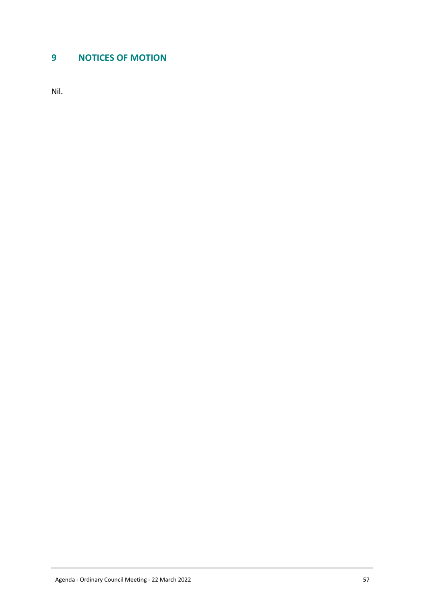# <span id="page-56-0"></span>**9 NOTICES OF MOTION**

Nil.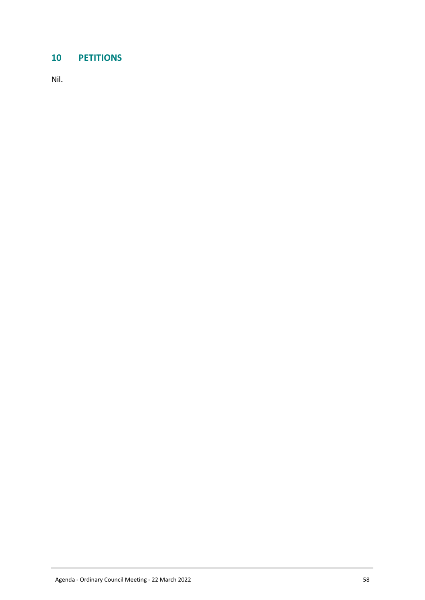# <span id="page-57-0"></span>**10 PETITIONS**

Nil.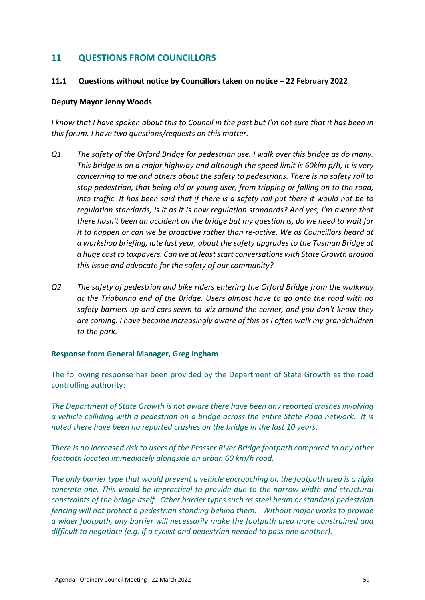# <span id="page-58-0"></span>**11 QUESTIONS FROM COUNCILLORS**

#### <span id="page-58-1"></span>**11.1 Questions without notice by Councillors taken on notice – 22 February 2022**

#### **Deputy Mayor Jenny Woods**

*I know that I have spoken about this to Council in the past but I'm not sure that it has been in this forum. I have two questions/requests on this matter.* 

- *Q1. The safety of the Orford Bridge for pedestrian use. I walk over this bridge as do many. This bridge is on a major highway and although the speed limit is 60klm p/h, it is very concerning to me and others about the safety to pedestrians. There is no safety rail to stop pedestrian, that being old or young user, from tripping or falling on to the road, into traffic. It has been said that if there is a safety rail put there it would not be to regulation standards, is it as it is now regulation standards? And yes, I'm aware that there hasn't been an accident on the bridge but my question is, do we need to wait for it to happen or can we be proactive rather than re-active. We as Councillors heard at a workshop briefing, late last year, about the safety upgrades to the Tasman Bridge at a huge cost to taxpayers. Can we at least start conversations with State Growth around this issue and advocate for the safety of our community?*
- *Q2. The safety of pedestrian and bike riders entering the Orford Bridge from the walkway at the Triabunna end of the Bridge. Users almost have to go onto the road with no safety barriers up and cars seem to wiz around the corner, and you don't know they are coming. I have become increasingly aware of this as I often walk my grandchildren to the park.*

#### **Response from General Manager, Greg Ingham**

The following response has been provided by the Department of State Growth as the road controlling authority:

*The Department of State Growth is not aware there have been any reported crashes involving a vehicle colliding with a pedestrian on a bridge across the entire State Road network. It is noted there have been no reported crashes on the bridge in the last 10 years.*

*There is no increased risk to users of the Prosser River Bridge footpath compared to any other footpath located immediately alongside an urban 60 km/h road.*

*The only barrier type that would prevent a vehicle encroaching on the footpath area is a rigid concrete one. This would be impractical to provide due to the narrow width and structural constraints of the bridge itself. Other barrier types such as steel beam or standard pedestrian fencing will not protect a pedestrian standing behind them. Without major works to provide a wider footpath, any barrier will necessarily make the footpath area more constrained and difficult to negotiate (e.g. if a cyclist and pedestrian needed to pass one another).*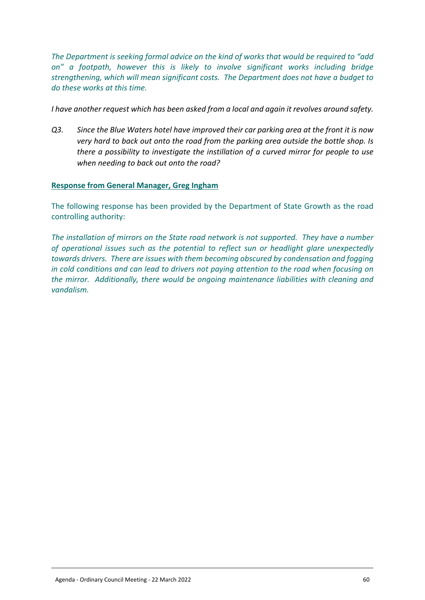*The Department is seeking formal advice on the kind of works that would be required to "add on" a footpath, however this is likely to involve significant works including bridge strengthening, which will mean significant costs. The Department does not have a budget to do these works at this time.*

*I have another request which has been asked from a local and again it revolves around safety.*

*Q3. Since the Blue Waters hotel have improved their car parking area at the front it is now very hard to back out onto the road from the parking area outside the bottle shop. Is there a possibility to investigate the instillation of a curved mirror for people to use when needing to back out onto the road?* 

## **Response from General Manager, Greg Ingham**

The following response has been provided by the Department of State Growth as the road controlling authority:

*The installation of mirrors on the State road network is not supported. They have a number of operational issues such as the potential to reflect sun or headlight glare unexpectedly towards drivers. There are issues with them becoming obscured by condensation and fogging in cold conditions and can lead to drivers not paying attention to the road when focusing on the mirror. Additionally, there would be ongoing maintenance liabilities with cleaning and vandalism.*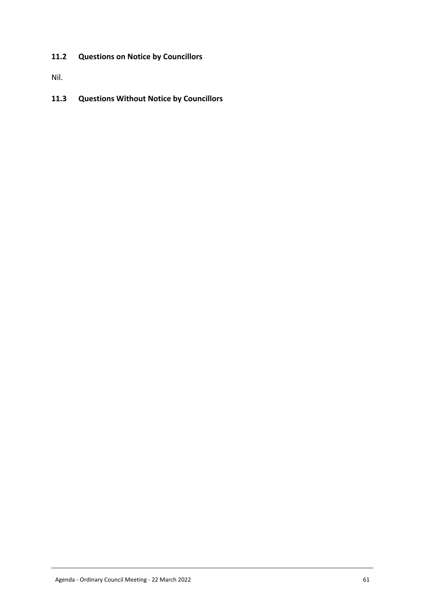# <span id="page-60-0"></span>**11.2 Questions on Notice by Councillors**

Nil.

## <span id="page-60-1"></span>**11.3 Questions Without Notice by Councillors**